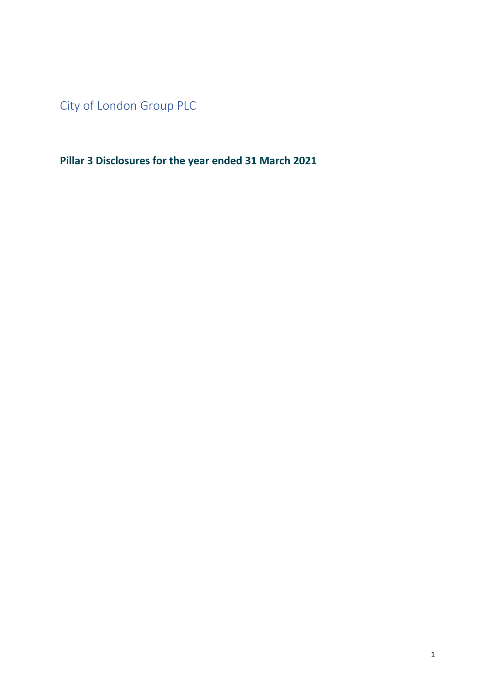<span id="page-0-0"></span>City of London Group PLC

**Pillar 3 Disclosures for the year ended 31 March 2021**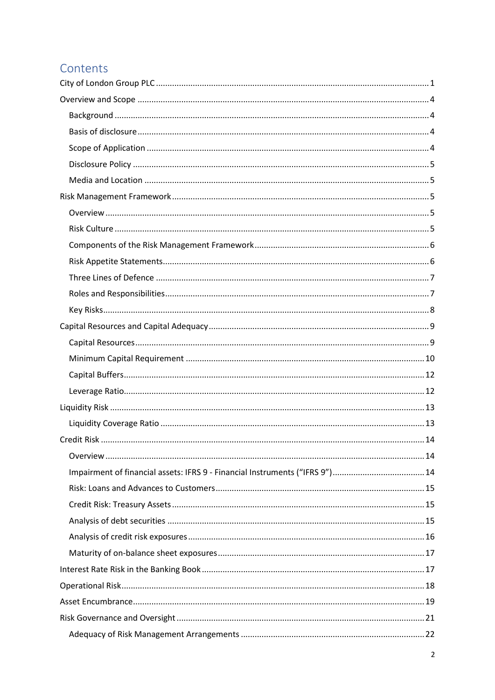## Contents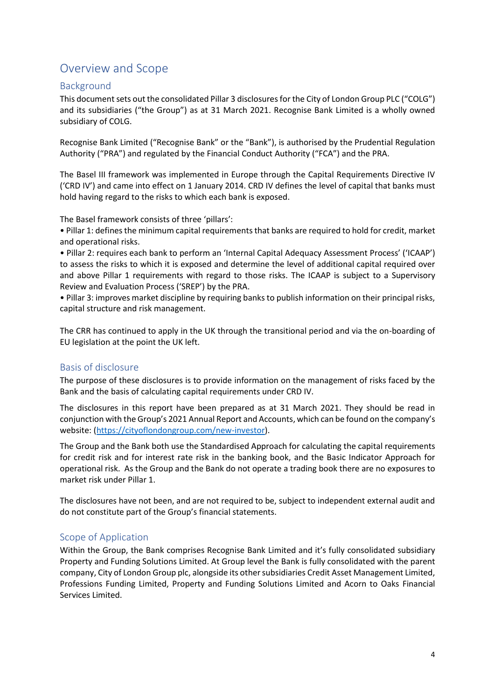## <span id="page-3-0"></span>Overview and Scope

## <span id="page-3-1"></span>Background

This document sets out the consolidated Pillar 3 disclosures for the City of London Group PLC ("COLG") and its subsidiaries ("the Group") as at 31 March 2021. Recognise Bank Limited is a wholly owned subsidiary of COLG.

Recognise Bank Limited ("Recognise Bank" or the "Bank"), is authorised by the Prudential Regulation Authority ("PRA") and regulated by the Financial Conduct Authority ("FCA") and the PRA.

The Basel III framework was implemented in Europe through the Capital Requirements Directive IV ('CRD IV') and came into effect on 1 January 2014. CRD IV defines the level of capital that banks must hold having regard to the risks to which each bank is exposed.

The Basel framework consists of three 'pillars':

• Pillar 1: defines the minimum capital requirements that banks are required to hold for credit, market and operational risks.

• Pillar 2: requires each bank to perform an 'Internal Capital Adequacy Assessment Process' ('ICAAP') to assess the risks to which it is exposed and determine the level of additional capital required over and above Pillar 1 requirements with regard to those risks. The ICAAP is subject to a Supervisory Review and Evaluation Process ('SREP') by the PRA.

• Pillar 3: improves market discipline by requiring banks to publish information on their principal risks, capital structure and risk management.

The CRR has continued to apply in the UK through the transitional period and via the on-boarding of EU legislation at the point the UK left.

## <span id="page-3-2"></span>Basis of disclosure

The purpose of these disclosures is to provide information on the management of risks faced by the Bank and the basis of calculating capital requirements under CRD IV.

The disclosures in this report have been prepared as at 31 March 2021. They should be read in conjunction with the Group's 2021 Annual Report and Accounts, which can be found on the company's website: [\(https://cityoflondongroup.com/new-investor\)](https://cityoflondongroup.com/new-investor).

The Group and the Bank both use the Standardised Approach for calculating the capital requirements for credit risk and for interest rate risk in the banking book, and the Basic Indicator Approach for operational risk. As the Group and the Bank do not operate a trading book there are no exposures to market risk under Pillar 1.

The disclosures have not been, and are not required to be, subject to independent external audit and do not constitute part of the Group's financial statements.

## <span id="page-3-3"></span>Scope of Application

Within the Group, the Bank comprises Recognise Bank Limited and it's fully consolidated subsidiary Property and Funding Solutions Limited. At Group level the Bank is fully consolidated with the parent company, City of London Group plc, alongside its other subsidiaries Credit Asset Management Limited, Professions Funding Limited, Property and Funding Solutions Limited and Acorn to Oaks Financial Services Limited.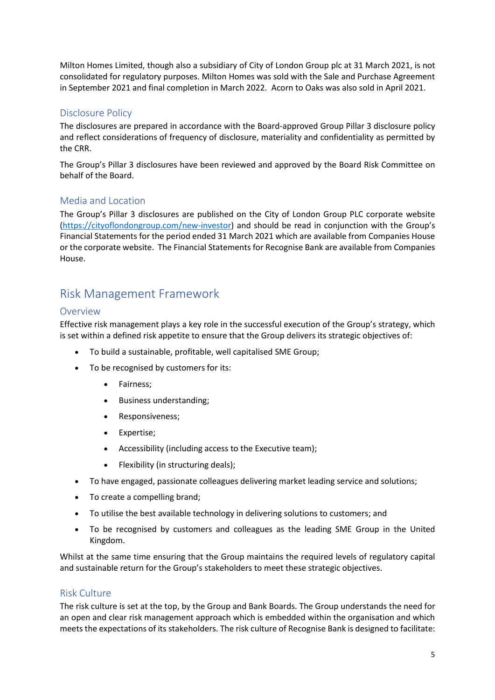Milton Homes Limited, though also a subsidiary of City of London Group plc at 31 March 2021, is not consolidated for regulatory purposes. Milton Homes was sold with the Sale and Purchase Agreement in September 2021 and final completion in March 2022. Acorn to Oaks was also sold in April 2021.

## <span id="page-4-0"></span>Disclosure Policy

The disclosures are prepared in accordance with the Board-approved Group Pillar 3 disclosure policy and reflect considerations of frequency of disclosure, materiality and confidentiality as permitted by the CRR.

The Group's Pillar 3 disclosures have been reviewed and approved by the Board Risk Committee on behalf of the Board.

## <span id="page-4-1"></span>Media and Location

The Group's Pillar 3 disclosures are published on the City of London Group PLC corporate website [\(https://cityoflondongroup.com/new-investor\)](https://cityoflondongroup.com/new-investor) and should be read in conjunction with the Group's Financial Statements for the period ended 31 March 2021 which are available from Companies House or the corporate website. The Financial Statements for Recognise Bank are available from Companies House.

## <span id="page-4-2"></span>Risk Management Framework

## <span id="page-4-3"></span>**Overview**

Effective risk management plays a key role in the successful execution of the Group's strategy, which is set within a defined risk appetite to ensure that the Group delivers its strategic objectives of:

- To build a sustainable, profitable, well capitalised SME Group;
- To be recognised by customers for its:
	- Fairness;
	- Business understanding;
	- Responsiveness;
	- Expertise;
	- Accessibility (including access to the Executive team);
	- Flexibility (in structuring deals);
- To have engaged, passionate colleagues delivering market leading service and solutions;
- To create a compelling brand;
- To utilise the best available technology in delivering solutions to customers; and
- To be recognised by customers and colleagues as the leading SME Group in the United Kingdom.

Whilst at the same time ensuring that the Group maintains the required levels of regulatory capital and sustainable return for the Group's stakeholders to meet these strategic objectives.

## <span id="page-4-4"></span>Risk Culture

The risk culture is set at the top, by the Group and Bank Boards. The Group understands the need for an open and clear risk management approach which is embedded within the organisation and which meets the expectations of its stakeholders. The risk culture of Recognise Bank is designed to facilitate: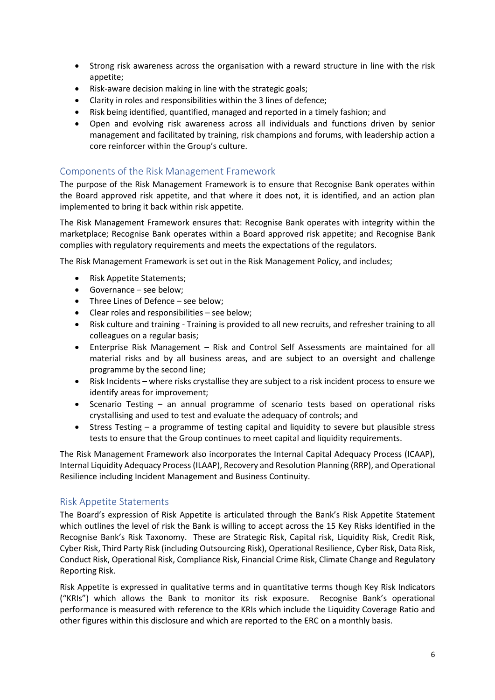- Strong risk awareness across the organisation with a reward structure in line with the risk appetite;
- Risk-aware decision making in line with the strategic goals;
- Clarity in roles and responsibilities within the 3 lines of defence;
- Risk being identified, quantified, managed and reported in a timely fashion; and
- Open and evolving risk awareness across all individuals and functions driven by senior management and facilitated by training, risk champions and forums, with leadership action a core reinforcer within the Group's culture.

## <span id="page-5-0"></span>Components of the Risk Management Framework

The purpose of the Risk Management Framework is to ensure that Recognise Bank operates within the Board approved risk appetite, and that where it does not, it is identified, and an action plan implemented to bring it back within risk appetite.

The Risk Management Framework ensures that: Recognise Bank operates with integrity within the marketplace; Recognise Bank operates within a Board approved risk appetite; and Recognise Bank complies with regulatory requirements and meets the expectations of the regulators.

The Risk Management Framework is set out in the Risk Management Policy, and includes;

- Risk Appetite Statements;
- Governance see below;
- Three Lines of Defence see below;
- Clear roles and responsibilities see below;
- Risk culture and training Training is provided to all new recruits, and refresher training to all colleagues on a regular basis;
- Enterprise Risk Management Risk and Control Self Assessments are maintained for all material risks and by all business areas, and are subject to an oversight and challenge programme by the second line;
- Risk Incidents where risks crystallise they are subject to a risk incident process to ensure we identify areas for improvement;
- Scenario Testing an annual programme of scenario tests based on operational risks crystallising and used to test and evaluate the adequacy of controls; and
- Stress Testing a programme of testing capital and liquidity to severe but plausible stress tests to ensure that the Group continues to meet capital and liquidity requirements.

The Risk Management Framework also incorporates the Internal Capital Adequacy Process (ICAAP), Internal Liquidity Adequacy Process (ILAAP), Recovery and Resolution Planning (RRP), and Operational Resilience including Incident Management and Business Continuity.

## <span id="page-5-1"></span>Risk Appetite Statements

The Board's expression of Risk Appetite is articulated through the Bank's Risk Appetite Statement which outlines the level of risk the Bank is willing to accept across the 15 Key Risks identified in the Recognise Bank's Risk Taxonomy. These are Strategic Risk, Capital risk, Liquidity Risk, Credit Risk, Cyber Risk, Third Party Risk (including Outsourcing Risk), Operational Resilience, Cyber Risk, Data Risk, Conduct Risk, Operational Risk, Compliance Risk, Financial Crime Risk, Climate Change and Regulatory Reporting Risk.

Risk Appetite is expressed in qualitative terms and in quantitative terms though Key Risk Indicators ("KRIs") which allows the Bank to monitor its risk exposure. Recognise Bank's operational performance is measured with reference to the KRIs which include the Liquidity Coverage Ratio and other figures within this disclosure and which are reported to the ERC on a monthly basis.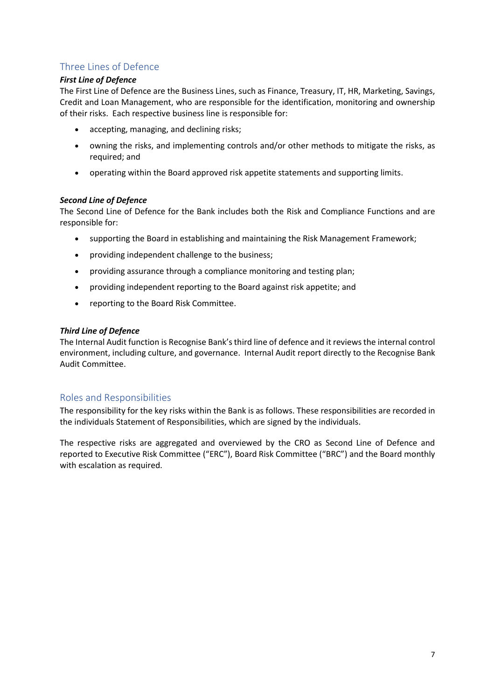## <span id="page-6-0"></span>Three Lines of Defence

#### *First Line of Defence*

The First Line of Defence are the Business Lines, such as Finance, Treasury, IT, HR, Marketing, Savings, Credit and Loan Management, who are responsible for the identification, monitoring and ownership of their risks. Each respective business line is responsible for:

- accepting, managing, and declining risks;
- owning the risks, and implementing controls and/or other methods to mitigate the risks, as required; and
- operating within the Board approved risk appetite statements and supporting limits.

#### *Second Line of Defence*

The Second Line of Defence for the Bank includes both the Risk and Compliance Functions and are responsible for:

- supporting the Board in establishing and maintaining the Risk Management Framework;
- providing independent challenge to the business;
- providing assurance through a compliance monitoring and testing plan;
- providing independent reporting to the Board against risk appetite; and
- reporting to the Board Risk Committee.

#### *Third Line of Defence*

The Internal Audit function is Recognise Bank'sthird line of defence and it reviews the internal control environment, including culture, and governance. Internal Audit report directly to the Recognise Bank Audit Committee.

## <span id="page-6-1"></span>Roles and Responsibilities

The responsibility for the key risks within the Bank is as follows. These responsibilities are recorded in the individuals Statement of Responsibilities, which are signed by the individuals.

The respective risks are aggregated and overviewed by the CRO as Second Line of Defence and reported to Executive Risk Committee ("ERC"), Board Risk Committee ("BRC") and the Board monthly with escalation as required.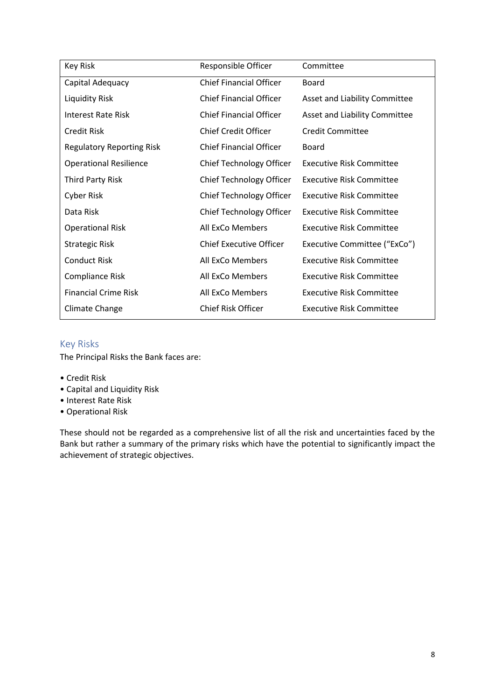| Key Risk                         | Responsible Officer            | Committee                       |
|----------------------------------|--------------------------------|---------------------------------|
| Capital Adequacy                 | <b>Chief Financial Officer</b> | <b>Board</b>                    |
| Liquidity Risk                   | <b>Chief Financial Officer</b> | Asset and Liability Committee   |
| Interest Rate Risk               | <b>Chief Financial Officer</b> | Asset and Liability Committee   |
| Credit Risk                      | <b>Chief Credit Officer</b>    | <b>Credit Committee</b>         |
| <b>Regulatory Reporting Risk</b> | <b>Chief Financial Officer</b> | Board                           |
| <b>Operational Resilience</b>    | Chief Technology Officer       | <b>Executive Risk Committee</b> |
| <b>Third Party Risk</b>          | Chief Technology Officer       | <b>Executive Risk Committee</b> |
| Cyber Risk                       | Chief Technology Officer       | Executive Risk Committee        |
| Data Risk                        | Chief Technology Officer       | <b>Executive Risk Committee</b> |
| <b>Operational Risk</b>          | All ExCo Members               | Executive Risk Committee        |
| <b>Strategic Risk</b>            | <b>Chief Executive Officer</b> | Executive Committee ("ExCo")    |
| <b>Conduct Risk</b>              | All ExCo Members               | <b>Executive Risk Committee</b> |
| <b>Compliance Risk</b>           | All ExCo Members               | <b>Executive Risk Committee</b> |
| <b>Financial Crime Risk</b>      | All ExCo Members               | <b>Executive Risk Committee</b> |
| Climate Change                   | <b>Chief Risk Officer</b>      | <b>Executive Risk Committee</b> |

## <span id="page-7-0"></span>Key Risks

The Principal Risks the Bank faces are:

- Credit Risk
- Capital and Liquidity Risk
- Interest Rate Risk
- Operational Risk

These should not be regarded as a comprehensive list of all the risk and uncertainties faced by the Bank but rather a summary of the primary risks which have the potential to significantly impact the achievement of strategic objectives.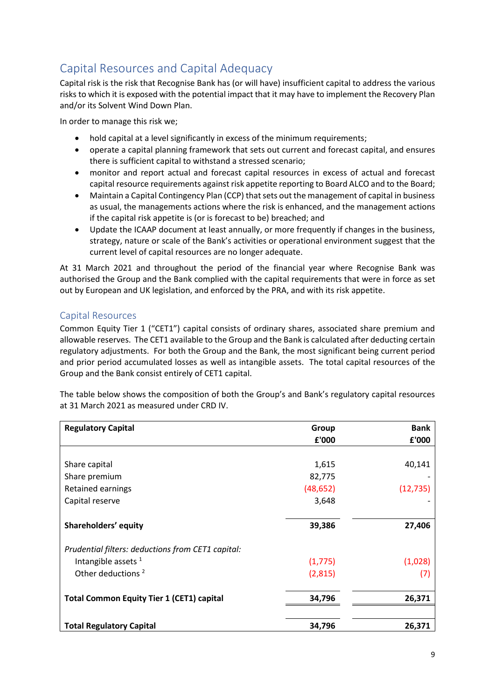# <span id="page-8-0"></span>Capital Resources and Capital Adequacy

Capital risk is the risk that Recognise Bank has (or will have) insufficient capital to address the various risks to which it is exposed with the potential impact that it may have to implement the Recovery Plan and/or its Solvent Wind Down Plan.

In order to manage this risk we;

- hold capital at a level significantly in excess of the minimum requirements;
- operate a capital planning framework that sets out current and forecast capital, and ensures there is sufficient capital to withstand a stressed scenario;
- monitor and report actual and forecast capital resources in excess of actual and forecast capital resource requirements against risk appetite reporting to Board ALCO and to the Board;
- Maintain a Capital Contingency Plan (CCP) that sets out the management of capital in business as usual, the managements actions where the risk is enhanced, and the management actions if the capital risk appetite is (or is forecast to be) breached; and
- Update the ICAAP document at least annually, or more frequently if changes in the business, strategy, nature or scale of the Bank's activities or operational environment suggest that the current level of capital resources are no longer adequate.

At 31 March 2021 and throughout the period of the financial year where Recognise Bank was authorised the Group and the Bank complied with the capital requirements that were in force as set out by European and UK legislation, and enforced by the PRA, and with its risk appetite.

## <span id="page-8-1"></span>Capital Resources

Common Equity Tier 1 ("CET1") capital consists of ordinary shares, associated share premium and allowable reserves. The CET1 available to the Group and the Bank is calculated after deducting certain regulatory adjustments. For both the Group and the Bank, the most significant being current period and prior period accumulated losses as well as intangible assets. The total capital resources of the Group and the Bank consist entirely of CET1 capital.

The table below shows the composition of both the Group's and Bank's regulatory capital resources at 31 March 2021 as measured under CRD IV.

| <b>Regulatory Capital</b>                         | Group     | <b>Bank</b> |
|---------------------------------------------------|-----------|-------------|
|                                                   | £'000     | £'000       |
|                                                   |           |             |
| Share capital                                     | 1,615     | 40,141      |
| Share premium                                     | 82,775    |             |
| Retained earnings                                 | (48, 652) | (12, 735)   |
| Capital reserve                                   | 3,648     |             |
| Shareholders' equity                              | 39,386    | 27,406      |
| Prudential filters: deductions from CET1 capital: |           |             |
| Intangible assets $1$                             | (1, 775)  | (1,028)     |
| Other deductions <sup>2</sup>                     | (2,815)   | (7)         |
| <b>Total Common Equity Tier 1 (CET1) capital</b>  | 34,796    | 26,371      |
| <b>Total Regulatory Capital</b>                   | 34,796    | 26,371      |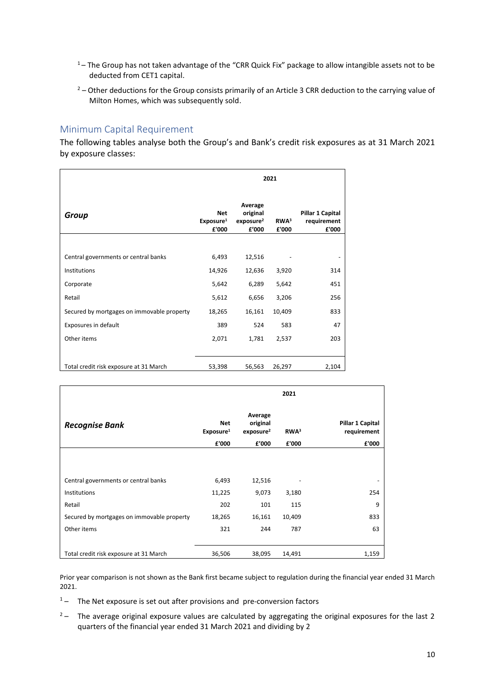- $1 -$  The Group has not taken advantage of the "CRR Quick Fix" package to allow intangible assets not to be deducted from CET1 capital.
- $2$  Other deductions for the Group consists primarily of an Article 3 CRR deduction to the carrying value of Milton Homes, which was subsequently sold.

## <span id="page-9-0"></span>Minimum Capital Requirement

The following tables analyse both the Group's and Bank's credit risk exposures as at 31 March 2021 by exposure classes:

|                                            | 2021                                         |                                                       |                           |                                          |  |  |  |
|--------------------------------------------|----------------------------------------------|-------------------------------------------------------|---------------------------|------------------------------------------|--|--|--|
| Group                                      | <b>Net</b><br>Exposure <sup>1</sup><br>£'000 | Average<br>original<br>exposure <sup>2</sup><br>£'000 | RWA <sup>3</sup><br>£'000 | Pillar 1 Capital<br>requirement<br>£'000 |  |  |  |
|                                            |                                              |                                                       |                           |                                          |  |  |  |
| Central governments or central banks       | 6,493                                        | 12,516                                                |                           |                                          |  |  |  |
| Institutions                               | 14,926                                       | 12,636                                                | 3,920                     | 314                                      |  |  |  |
| Corporate                                  | 5,642                                        | 6,289                                                 | 5,642                     | 451                                      |  |  |  |
| Retail                                     | 5,612                                        | 6,656                                                 | 3,206                     | 256                                      |  |  |  |
| Secured by mortgages on immovable property | 18,265                                       | 16,161                                                | 10,409                    | 833                                      |  |  |  |
| Exposures in default                       | 389                                          | 524                                                   | 583                       | 47                                       |  |  |  |
| Other items                                | 2,071                                        | 1,781                                                 | 2,537                     | 203                                      |  |  |  |
|                                            |                                              |                                                       |                           |                                          |  |  |  |
| Total credit risk exposure at 31 March     | 53,398                                       | 56,563                                                | 26,297                    | 2,104                                    |  |  |  |

|                                            |                                     |                                              | 2021             |                                 |
|--------------------------------------------|-------------------------------------|----------------------------------------------|------------------|---------------------------------|
| <b>Recognise Bank</b>                      | <b>Net</b><br>Exposure <sup>1</sup> | Average<br>original<br>exposure <sup>2</sup> | RWA <sup>3</sup> | Pillar 1 Capital<br>requirement |
|                                            | £'000                               | £'000                                        | £'000            | £'000                           |
| Central governments or central banks       | 6,493                               | 12,516                                       |                  |                                 |
| <b>Institutions</b>                        | 11,225                              | 9,073                                        | 3,180            | 254                             |
|                                            |                                     |                                              |                  |                                 |
| Retail                                     | 202                                 | 101                                          | 115              | 9                               |
| Secured by mortgages on immovable property | 18,265                              | 16,161                                       | 10,409           | 833                             |
| Other items                                | 321                                 | 244                                          | 787              | 63                              |
| Total credit risk exposure at 31 March     | 36,506                              | 38,095                                       | 14,491           | 1,159                           |

Prior year comparison is not shown as the Bank first became subject to regulation during the financial year ended 31 March 2021.

- $1 -$  The Net exposure is set out after provisions and pre-conversion factors
- $2 -$  The average original exposure values are calculated by aggregating the original exposures for the last 2 quarters of the financial year ended 31 March 2021 and dividing by 2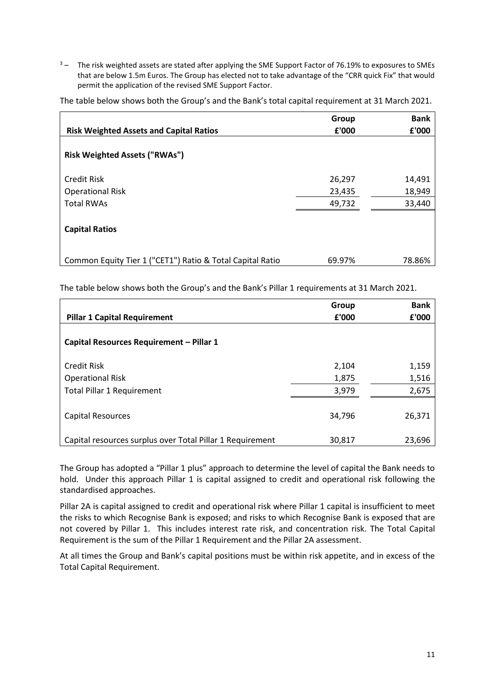<sup>3</sup> – The risk weighted assets are stated after applying the SME Support Factor of 76.19% to exposures to SMEs that are below 1.5m Euros. The Group has elected not to take advantage of the "CRR quick Fix" that would permit the application of the revised SME Support Factor.

|                                                           | Group  | <b>Bank</b> |
|-----------------------------------------------------------|--------|-------------|
| <b>Risk Weighted Assets and Capital Ratios</b>            | £'000  | £'000       |
| <b>Risk Weighted Assets ("RWAs")</b>                      |        |             |
| Credit Risk                                               | 26,297 | 14,491      |
| <b>Operational Risk</b>                                   | 23,435 | 18,949      |
| <b>Total RWAs</b>                                         | 49,732 | 33,440      |
| <b>Capital Ratios</b>                                     |        |             |
| Common Equity Tier 1 ("CET1") Ratio & Total Capital Ratio | 69.97% | 78.86%      |

The table below shows both the Group's and the Bank's total capital requirement at 31 March 2021.

The table below shows both the Group's and the Bank's Pillar 1 requirements at 31 March 2021.

|                                                           | Group  | <b>Bank</b> |
|-----------------------------------------------------------|--------|-------------|
| <b>Pillar 1 Capital Requirement</b>                       | £'000  | £'000       |
|                                                           |        |             |
| Capital Resources Requirement - Pillar 1                  |        |             |
|                                                           |        |             |
| <b>Credit Risk</b>                                        | 2,104  | 1,159       |
| <b>Operational Risk</b>                                   | 1,875  | 1,516       |
| <b>Total Pillar 1 Requirement</b>                         | 3,979  | 2,675       |
|                                                           |        |             |
| <b>Capital Resources</b>                                  | 34,796 | 26,371      |
|                                                           |        |             |
| Capital resources surplus over Total Pillar 1 Requirement | 30,817 | 23,696      |

The Group has adopted a "Pillar 1 plus" approach to determine the level of capital the Bank needs to hold. Under this approach Pillar 1 is capital assigned to credit and operational risk following the standardised approaches.

Pillar 2A is capital assigned to credit and operational risk where Pillar 1 capital is insufficient to meet the risks to which Recognise Bank is exposed; and risks to which Recognise Bank is exposed that are not covered by Pillar 1. This includes interest rate risk, and concentration risk. The Total Capital Requirement is the sum of the Pillar 1 Requirement and the Pillar 2A assessment.

At all times the Group and Bank's capital positions must be within risk appetite, and in excess of the Total Capital Requirement.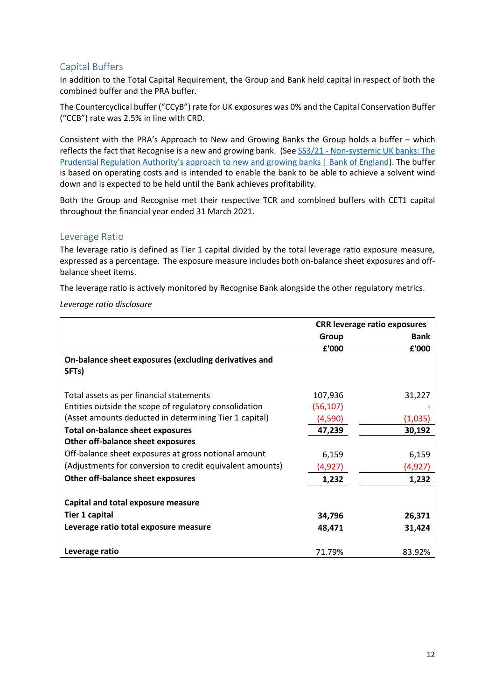## <span id="page-11-0"></span>Capital Buffers

In addition to the Total Capital Requirement, the Group and Bank held capital in respect of both the combined buffer and the PRA buffer.

The Countercyclical buffer ("CCyB") rate for UK exposures was 0% and the Capital Conservation Buffer ("CCB") rate was 2.5% in line with CRD.

Consistent with the PRA's Approach to New and Growing Banks the Group holds a buffer – which reflects the fact that Recognise is a new and growing bank. (See SS3/21 - [Non-systemic UK banks: The](https://www.bankofengland.co.uk/prudential-regulation/publication/2021/april/new-and-growing-banks-ss)  [Prudential Regulation Authority's approach to new and growing banks | Bank of England](https://www.bankofengland.co.uk/prudential-regulation/publication/2021/april/new-and-growing-banks-ss)). The buffer is based on operating costs and is intended to enable the bank to be able to achieve a solvent wind down and is expected to be held until the Bank achieves profitability.

Both the Group and Recognise met their respective TCR and combined buffers with CET1 capital throughout the financial year ended 31 March 2021.

## <span id="page-11-1"></span>Leverage Ratio

The leverage ratio is defined as Tier 1 capital divided by the total leverage ratio exposure measure, expressed as a percentage. The exposure measure includes both on-balance sheet exposures and offbalance sheet items.

The leverage ratio is actively monitored by Recognise Bank alongside the other regulatory metrics.

*Leverage ratio disclosure*

|                                                           | <b>CRR leverage ratio exposures</b> |             |
|-----------------------------------------------------------|-------------------------------------|-------------|
|                                                           | Group                               | <b>Bank</b> |
|                                                           | £'000                               | £'000       |
| On-balance sheet exposures (excluding derivatives and     |                                     |             |
| SFTs)                                                     |                                     |             |
|                                                           |                                     |             |
| Total assets as per financial statements                  | 107,936                             | 31,227      |
| Entities outside the scope of regulatory consolidation    | (56, 107)                           |             |
| (Asset amounts deducted in determining Tier 1 capital)    | (4,590)                             | (1,035)     |
| <b>Total on-balance sheet exposures</b>                   | 47,239                              | 30,192      |
| Other off-balance sheet exposures                         |                                     |             |
| Off-balance sheet exposures at gross notional amount      | 6,159                               | 6,159       |
| (Adjustments for conversion to credit equivalent amounts) | (4,927)                             | (4, 927)    |
| Other off-balance sheet exposures                         | 1,232                               | 1,232       |
|                                                           |                                     |             |
| Capital and total exposure measure                        |                                     |             |
| <b>Tier 1 capital</b>                                     | 34,796                              | 26,371      |
| Leverage ratio total exposure measure                     | 48,471                              | 31,424      |
| Leverage ratio                                            | 71.79%                              | 83.92%      |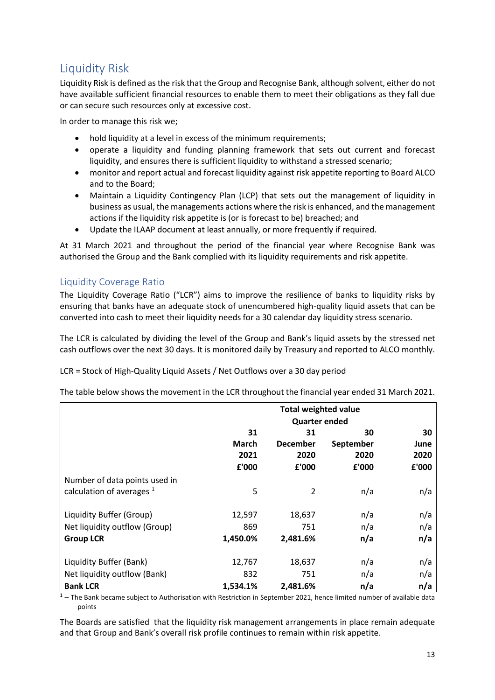## <span id="page-12-0"></span>Liquidity Risk

Liquidity Risk is defined as the risk that the Group and Recognise Bank, although solvent, either do not have available sufficient financial resources to enable them to meet their obligations as they fall due or can secure such resources only at excessive cost.

In order to manage this risk we;

- hold liquidity at a level in excess of the minimum requirements;
- operate a liquidity and funding planning framework that sets out current and forecast liquidity, and ensures there is sufficient liquidity to withstand a stressed scenario;
- monitor and report actual and forecast liquidity against risk appetite reporting to Board ALCO and to the Board;
- Maintain a Liquidity Contingency Plan (LCP) that sets out the management of liquidity in business as usual, the managements actions where the risk is enhanced, and the management actions if the liquidity risk appetite is (or is forecast to be) breached; and
- Update the ILAAP document at least annually, or more frequently if required.

At 31 March 2021 and throughout the period of the financial year where Recognise Bank was authorised the Group and the Bank complied with its liquidity requirements and risk appetite.

## <span id="page-12-1"></span>Liquidity Coverage Ratio

The Liquidity Coverage Ratio ("LCR") aims to improve the resilience of banks to liquidity risks by ensuring that banks have an adequate stock of unencumbered high-quality liquid assets that can be converted into cash to meet their liquidity needs for a 30 calendar day liquidity stress scenario.

The LCR is calculated by dividing the level of the Group and Bank's liquid assets by the stressed net cash outflows over the next 30 days. It is monitored daily by Treasury and reported to ALCO monthly.

LCR = Stock of High-Quality Liquid Assets / Net Outflows over a 30 day period

The table below shows the movement in the LCR throughout the financial year ended 31 March 2021.

|                               | <b>Total weighted value</b> |                 |           |       |  |
|-------------------------------|-----------------------------|-----------------|-----------|-------|--|
|                               | <b>Quarter ended</b>        |                 |           |       |  |
|                               | 31                          | 31              | 30        | 30    |  |
|                               | <b>March</b>                | <b>December</b> | September | June  |  |
|                               | 2021                        | 2020            | 2020      | 2020  |  |
|                               | £'000                       | £'000           | £'000     | £'000 |  |
| Number of data points used in |                             |                 |           |       |  |
| calculation of averages $1$   | 5                           | 2               | n/a       | n/a   |  |
| Liquidity Buffer (Group)      | 12,597                      | 18,637          | n/a       | n/a   |  |
| Net liquidity outflow (Group) | 869                         | 751             | n/a       | n/a   |  |
| <b>Group LCR</b>              | 1,450.0%                    | 2,481.6%        | n/a       | n/a   |  |
| Liquidity Buffer (Bank)       | 12,767                      | 18,637          | n/a       | n/a   |  |
| Net liquidity outflow (Bank)  | 832                         | 751             | n/a       | n/a   |  |
| <b>Bank LCR</b>               | 1,534.1%                    | 2,481.6%        | n/a       | n/a   |  |

 $\frac{1}{1}$  – The Bank became subject to Authorisation with Restriction in September 2021, hence limited number of available data points

The Boards are satisfied that the liquidity risk management arrangements in place remain adequate and that Group and Bank's overall risk profile continues to remain within risk appetite.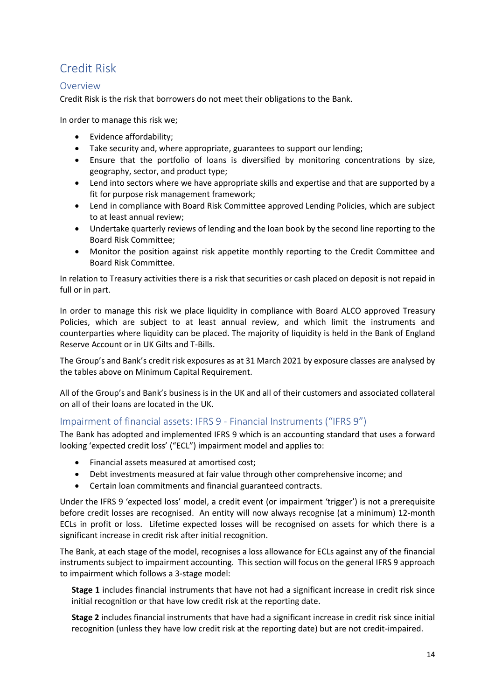# <span id="page-13-0"></span>Credit Risk

## <span id="page-13-1"></span>Overview

Credit Risk is the risk that borrowers do not meet their obligations to the Bank.

In order to manage this risk we;

- Evidence affordability;
- Take security and, where appropriate, guarantees to support our lending;
- Ensure that the portfolio of loans is diversified by monitoring concentrations by size, geography, sector, and product type;
- Lend into sectors where we have appropriate skills and expertise and that are supported by a fit for purpose risk management framework;
- Lend in compliance with Board Risk Committee approved Lending Policies, which are subject to at least annual review;
- Undertake quarterly reviews of lending and the loan book by the second line reporting to the Board Risk Committee;
- Monitor the position against risk appetite monthly reporting to the Credit Committee and Board Risk Committee.

In relation to Treasury activities there is a risk that securities or cash placed on deposit is not repaid in full or in part.

In order to manage this risk we place liquidity in compliance with Board ALCO approved Treasury Policies, which are subject to at least annual review, and which limit the instruments and counterparties where liquidity can be placed. The majority of liquidity is held in the Bank of England Reserve Account or in UK Gilts and T-Bills.

The Group's and Bank's credit risk exposures as at 31 March 2021 by exposure classes are analysed by the tables above on Minimum Capital Requirement.

All of the Group's and Bank's business is in the UK and all of their customers and associated collateral on all of their loans are located in the UK.

## <span id="page-13-2"></span>Impairment of financial assets: IFRS 9 - Financial Instruments ("IFRS 9")

The Bank has adopted and implemented IFRS 9 which is an accounting standard that uses a forward looking 'expected credit loss' ("ECL") impairment model and applies to:

- Financial assets measured at amortised cost;
- Debt investments measured at fair value through other comprehensive income; and
- Certain loan commitments and financial guaranteed contracts.

Under the IFRS 9 'expected loss' model, a credit event (or impairment 'trigger') is not a prerequisite before credit losses are recognised. An entity will now always recognise (at a minimum) 12-month ECLs in profit or loss. Lifetime expected losses will be recognised on assets for which there is a significant increase in credit risk after initial recognition.

The Bank, at each stage of the model, recognises a loss allowance for ECLs against any of the financial instruments subject to impairment accounting. This section will focus on the general IFRS 9 approach to impairment which follows a 3-stage model:

**Stage 1** includes financial instruments that have not had a significant increase in credit risk since initial recognition or that have low credit risk at the reporting date.

**Stage 2** includes financial instruments that have had a significant increase in credit risk since initial recognition (unless they have low credit risk at the reporting date) but are not credit-impaired.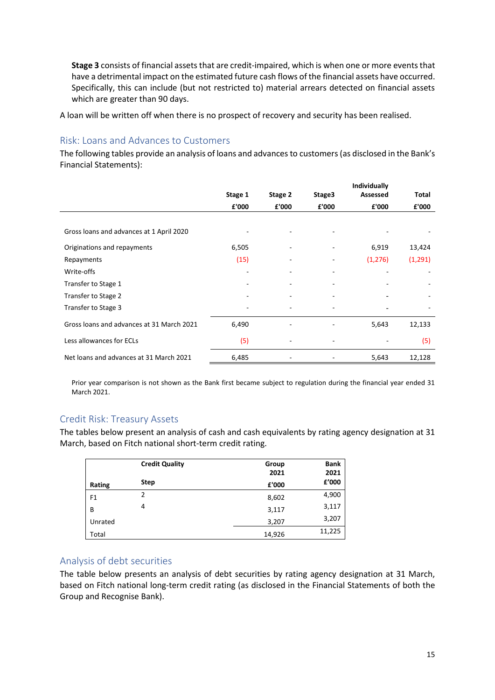**Stage 3** consists of financial assets that are credit-impaired, which is when one or more events that have a detrimental impact on the estimated future cash flows of the financial assets have occurred. Specifically, this can include (but not restricted to) material arrears detected on financial assets which are greater than 90 days.

A loan will be written off when there is no prospect of recovery and security has been realised.

## <span id="page-14-0"></span>Risk: Loans and Advances to Customers

The following tables provide an analysis of loans and advances to customers (as disclosed in the Bank's Financial Statements):

|                                           |         |         |                | Individually |              |
|-------------------------------------------|---------|---------|----------------|--------------|--------------|
|                                           | Stage 1 | Stage 2 | Stage3         | Assessed     | <b>Total</b> |
|                                           | £'000   | £'000   | £'000          | £'000        | £'000        |
|                                           |         |         |                |              |              |
| Gross loans and advances at 1 April 2020  |         |         |                |              |              |
| Originations and repayments               | 6,505   |         |                | 6,919        | 13,424       |
| Repayments                                | (15)    |         | ٠              | (1, 276)     | (1, 291)     |
| Write-offs                                |         |         | ۰              |              |              |
| Transfer to Stage 1                       |         |         |                |              |              |
| Transfer to Stage 2                       |         |         |                |              |              |
| Transfer to Stage 3                       |         |         |                |              |              |
| Gross loans and advances at 31 March 2021 | 6,490   |         | $\overline{a}$ | 5,643        | 12,133       |
| Less allowances for ECLs                  | (5)     |         | $\overline{a}$ |              | (5)          |
| Net loans and advances at 31 March 2021   | 6,485   |         | -              | 5,643        | 12,128       |

Prior year comparison is not shown as the Bank first became subject to regulation during the financial year ended 31 March 2021.

## <span id="page-14-1"></span>Credit Risk: Treasury Assets

The tables below present an analysis of cash and cash equivalents by rating agency designation at 31 March, based on Fitch national short-term credit rating.

|         | <b>Credit Quality</b> | Group<br>2021 | <b>Bank</b><br>2021 |
|---------|-----------------------|---------------|---------------------|
| Rating  | <b>Step</b>           | £'000         | £'000               |
| F1      | 2                     | 8,602         | 4,900               |
| B       | 4                     | 3,117         | 3,117               |
| Unrated |                       | 3,207         | 3,207               |
| Total   |                       | 14,926        | 11,225              |

## <span id="page-14-2"></span>Analysis of debt securities

The table below presents an analysis of debt securities by rating agency designation at 31 March, based on Fitch national long-term credit rating (as disclosed in the Financial Statements of both the Group and Recognise Bank).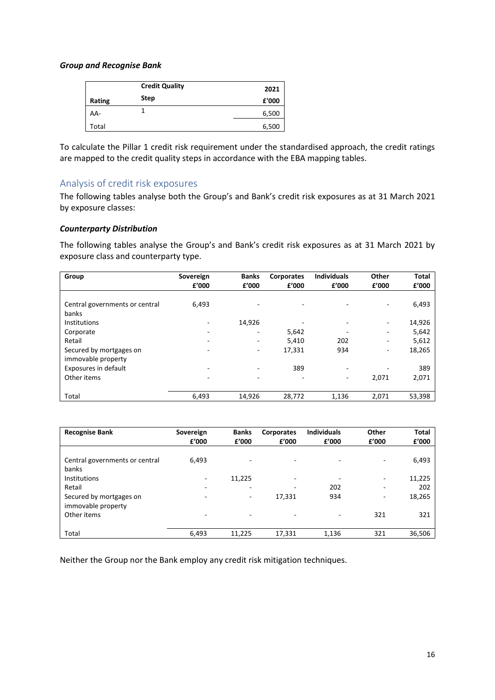#### *Group and Recognise Bank*

|        | <b>Credit Quality</b> | 2021  |
|--------|-----------------------|-------|
| Rating | <b>Step</b>           | £'000 |
| AA-    |                       | 6,500 |
| Total  |                       | 6,500 |

To calculate the Pillar 1 credit risk requirement under the standardised approach, the credit ratings are mapped to the credit quality steps in accordance with the EBA mapping tables.

## <span id="page-15-0"></span>Analysis of credit risk exposures

The following tables analyse both the Group's and Bank's credit risk exposures as at 31 March 2021 by exposure classes:

#### *Counterparty Distribution*

The following tables analyse the Group's and Bank's credit risk exposures as at 31 March 2021 by exposure class and counterparty type.

| Group                                         | Sovereign<br>f'000 | <b>Banks</b><br>£'000    | Corporates<br>£'000      | <b>Individuals</b><br>£'000 | Other<br>f'000 | <b>Total</b><br>£'000 |
|-----------------------------------------------|--------------------|--------------------------|--------------------------|-----------------------------|----------------|-----------------------|
| Central governments or central<br>banks       | 6,493              | ٠                        | $\overline{\phantom{a}}$ |                             | ٠              | 6,493                 |
| <b>Institutions</b>                           |                    | 14,926                   | -                        |                             | ٠              | 14,926                |
| Corporate                                     |                    | -                        | 5,642                    |                             | -              | 5,642                 |
| Retail                                        |                    |                          | 5,410                    | 202                         | ٠              | 5,612                 |
| Secured by mortgages on<br>immovable property |                    | ٠                        | 17,331                   | 934                         | ٠              | 18,265                |
| Exposures in default                          | $\overline{ }$     | -                        | 389                      | -                           | -              | 389                   |
| Other items                                   | -                  | $\overline{\phantom{a}}$ | $\overline{\phantom{a}}$ | ۰                           | 2,071          | 2,071                 |
| Total                                         | 6,493              | 14,926                   | 28,772                   | 1,136                       | 2,071          | 53,398                |

| <b>Recognise Bank</b>                         | Sovereign<br>£'000 | <b>Banks</b><br>f'000    | <b>Corporates</b><br>£'000 | <b>Individuals</b><br>£'000 | Other<br>£'000           | <b>Total</b><br>£'000 |
|-----------------------------------------------|--------------------|--------------------------|----------------------------|-----------------------------|--------------------------|-----------------------|
| Central governments or central<br>banks       | 6,493              |                          | ٠                          |                             |                          | 6,493                 |
| Institutions                                  |                    | 11,225                   | ٠                          |                             |                          | 11,225                |
| Retail                                        | ۰                  | $\overline{\phantom{0}}$ | -                          | 202                         | $\overline{\phantom{0}}$ | 202                   |
| Secured by mortgages on<br>immovable property |                    | ۰                        | 17,331                     | 934                         | -                        | 18,265                |
| Other items                                   | -                  |                          | -                          |                             | 321                      | 321                   |
| Total                                         | 6,493              | 11,225                   | 17,331                     | 1,136                       | 321                      | 36,506                |

Neither the Group nor the Bank employ any credit risk mitigation techniques.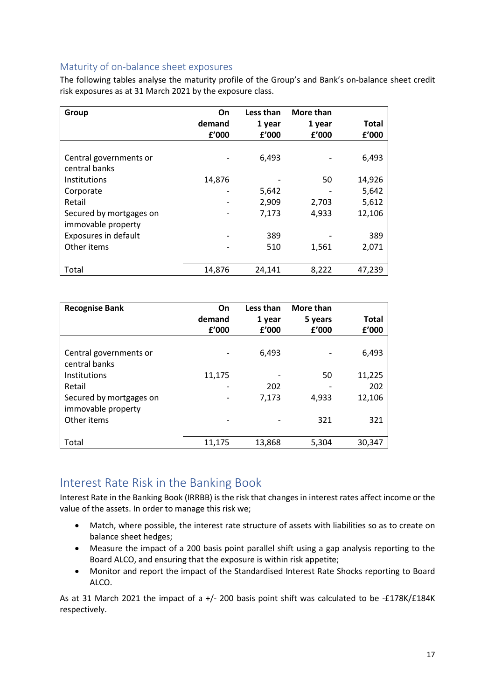## <span id="page-16-0"></span>Maturity of on-balance sheet exposures

The following tables analyse the maturity profile of the Group's and Bank's on-balance sheet credit risk exposures as at 31 March 2021 by the exposure class.

| Group                                   | On<br>demand<br>f'000 | Less than<br>1 year<br>£'000 | More than<br>1 year<br>£'000 | <b>Total</b><br>f'000 |
|-----------------------------------------|-----------------------|------------------------------|------------------------------|-----------------------|
| Central governments or<br>central banks |                       | 6,493                        |                              | 6,493                 |
| Institutions                            | 14,876                |                              | 50                           | 14,926                |
| Corporate                               |                       | 5,642                        |                              | 5,642                 |
| Retail                                  |                       | 2,909                        | 2,703                        | 5,612                 |
| Secured by mortgages on                 |                       | 7,173                        | 4,933                        | 12,106                |
| immovable property                      |                       | 389                          |                              | 389                   |
| Exposures in default<br>Other items     |                       | 510                          | 1,561                        | 2,071                 |
| Total                                   | 14,876                | 24,141                       | 8,222                        | 47,239                |

| <b>Recognise Bank</b>                         | On<br>demand<br>f'000 | Less than<br>1 year<br>f'000 | More than<br>5 years<br>£'000 | <b>Total</b><br>f'000 |
|-----------------------------------------------|-----------------------|------------------------------|-------------------------------|-----------------------|
| Central governments or<br>central banks       |                       | 6,493                        |                               | 6,493                 |
| <b>Institutions</b>                           | 11,175                |                              | 50                            | 11,225                |
| Retail                                        |                       | 202                          |                               | 202                   |
| Secured by mortgages on<br>immovable property |                       | 7,173                        | 4.933                         | 12,106                |
| Other items                                   |                       |                              | 321                           | 321                   |
| Total                                         | 11,175                | 13,868                       | 5,304                         | 30,347                |

## <span id="page-16-1"></span>Interest Rate Risk in the Banking Book

Interest Rate in the Banking Book (IRRBB) is the risk that changes in interest rates affect income or the value of the assets. In order to manage this risk we;

- Match, where possible, the interest rate structure of assets with liabilities so as to create on balance sheet hedges;
- Measure the impact of a 200 basis point parallel shift using a gap analysis reporting to the Board ALCO, and ensuring that the exposure is within risk appetite;
- Monitor and report the impact of the Standardised Interest Rate Shocks reporting to Board ALCO.

As at 31 March 2021 the impact of a +/- 200 basis point shift was calculated to be -£178K/£184K respectively.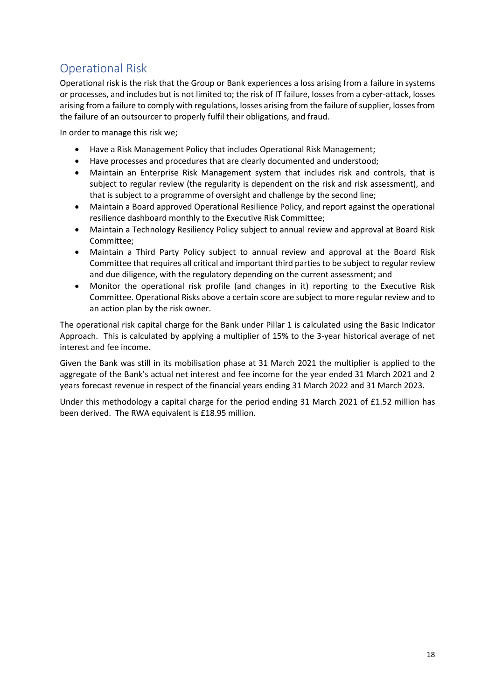# <span id="page-17-0"></span>Operational Risk

Operational risk is the risk that the Group or Bank experiences a loss arising from a failure in systems or processes, and includes but is not limited to; the risk of IT failure, losses from a cyber-attack, losses arising from a failure to comply with regulations, losses arising from the failure of supplier, losses from the failure of an outsourcer to properly fulfil their obligations, and fraud.

In order to manage this risk we;

- Have a Risk Management Policy that includes Operational Risk Management;
- Have processes and procedures that are clearly documented and understood;
- Maintain an Enterprise Risk Management system that includes risk and controls, that is subject to regular review (the regularity is dependent on the risk and risk assessment), and that is subject to a programme of oversight and challenge by the second line;
- Maintain a Board approved Operational Resilience Policy, and report against the operational resilience dashboard monthly to the Executive Risk Committee;
- Maintain a Technology Resiliency Policy subject to annual review and approval at Board Risk Committee;
- Maintain a Third Party Policy subject to annual review and approval at the Board Risk Committee that requires all critical and important third parties to be subject to regular review and due diligence, with the regulatory depending on the current assessment; and
- Monitor the operational risk profile (and changes in it) reporting to the Executive Risk Committee. Operational Risks above a certain score are subject to more regular review and to an action plan by the risk owner.

The operational risk capital charge for the Bank under Pillar 1 is calculated using the Basic Indicator Approach. This is calculated by applying a multiplier of 15% to the 3-year historical average of net interest and fee income.

Given the Bank was still in its mobilisation phase at 31 March 2021 the multiplier is applied to the aggregate of the Bank's actual net interest and fee income for the year ended 31 March 2021 and 2 years forecast revenue in respect of the financial years ending 31 March 2022 and 31 March 2023.

Under this methodology a capital charge for the period ending 31 March 2021 of £1.52 million has been derived. The RWA equivalent is £18.95 million.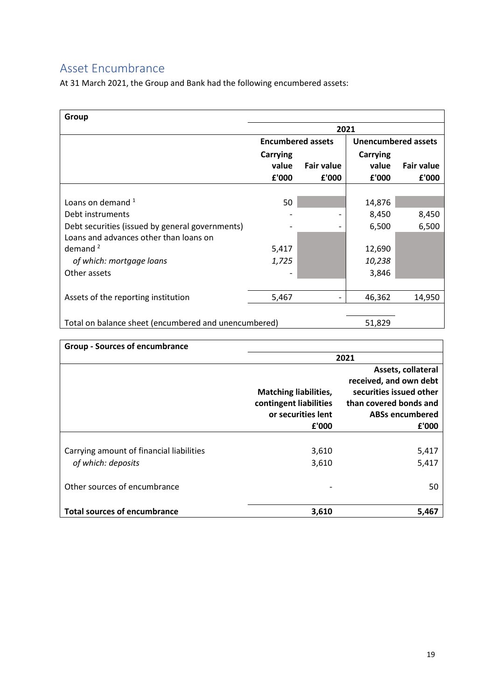# <span id="page-18-0"></span>Asset Encumbrance

At 31 March 2021, the Group and Bank had the following encumbered assets:

| Group                                                |                          |                   |                            |                   |
|------------------------------------------------------|--------------------------|-------------------|----------------------------|-------------------|
|                                                      | 2021                     |                   |                            |                   |
|                                                      | <b>Encumbered assets</b> |                   | <b>Unencumbered assets</b> |                   |
|                                                      | <b>Carrying</b>          |                   | <b>Carrying</b>            |                   |
|                                                      | value                    | <b>Fair value</b> | value                      | <b>Fair value</b> |
|                                                      | £'000                    | £'000             | £'000                      | £'000             |
|                                                      |                          |                   |                            |                   |
| Loans on demand <sup>1</sup>                         | 50                       |                   | 14,876                     |                   |
| Debt instruments                                     |                          |                   | 8,450                      | 8,450             |
| Debt securities (issued by general governments)      |                          |                   | 6,500                      | 6,500             |
| Loans and advances other than loans on               |                          |                   |                            |                   |
| demand $2$                                           | 5,417                    |                   | 12,690                     |                   |
| of which: mortgage loans                             | 1,725                    |                   | 10,238                     |                   |
| Other assets                                         |                          |                   | 3,846                      |                   |
|                                                      |                          |                   |                            |                   |
| Assets of the reporting institution                  | 5,467                    |                   | 46,362                     | 14,950            |
|                                                      |                          |                   |                            |                   |
| Total on balance sheet (encumbered and unencumbered) |                          |                   | 51,829                     |                   |

| <b>Group - Sources of encumbrance</b>                          |                                                                                       |                                                                                                                                      |
|----------------------------------------------------------------|---------------------------------------------------------------------------------------|--------------------------------------------------------------------------------------------------------------------------------------|
|                                                                |                                                                                       | 2021                                                                                                                                 |
|                                                                | <b>Matching liabilities,</b><br>contingent liabilities<br>or securities lent<br>£'000 | Assets, collateral<br>received, and own debt<br>securities issued other<br>than covered bonds and<br><b>ABSs encumbered</b><br>£'000 |
| Carrying amount of financial liabilities<br>of which: deposits | 3,610<br>3,610                                                                        | 5,417<br>5,417                                                                                                                       |
| Other sources of encumbrance                                   |                                                                                       | 50                                                                                                                                   |
| <b>Total sources of encumbrance</b>                            | 3,610                                                                                 | 5,467                                                                                                                                |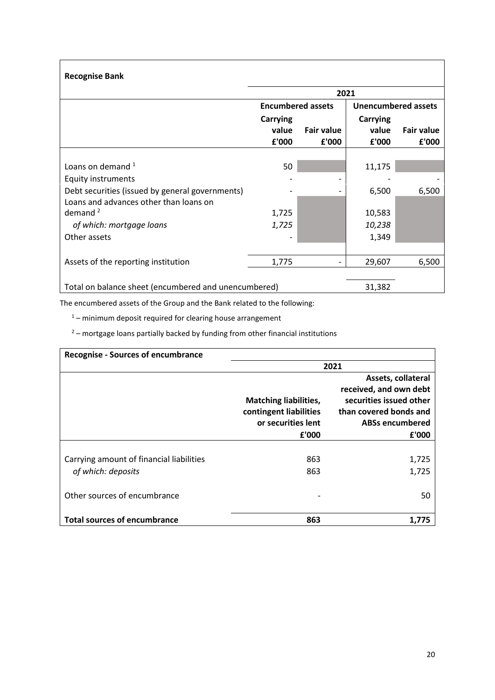| <b>Recognise Bank</b>                                |                          |                              |                            |                   |
|------------------------------------------------------|--------------------------|------------------------------|----------------------------|-------------------|
|                                                      |                          | 2021                         |                            |                   |
|                                                      | <b>Encumbered assets</b> |                              | <b>Unencumbered assets</b> |                   |
|                                                      | <b>Carrying</b>          |                              | <b>Carrying</b>            |                   |
|                                                      | value                    | <b>Fair value</b>            | value                      | <b>Fair value</b> |
|                                                      | £'000                    | £'000                        | £'000                      | £'000             |
|                                                      |                          |                              |                            |                   |
| Loans on demand $1$                                  | 50                       |                              | 11,175                     |                   |
| <b>Equity instruments</b>                            |                          |                              |                            |                   |
| Debt securities (issued by general governments)      |                          | ۰                            | 6,500                      | 6,500             |
| Loans and advances other than loans on               |                          |                              |                            |                   |
| demand $2$                                           | 1,725                    |                              | 10,583                     |                   |
| of which: mortgage loans                             | 1,725                    |                              | 10,238                     |                   |
| Other assets                                         |                          |                              | 1,349                      |                   |
|                                                      |                          |                              |                            |                   |
| Assets of the reporting institution                  | 1,775                    | $\qquad \qquad \blacksquare$ | 29,607                     | 6,500             |
|                                                      |                          |                              |                            |                   |
| Total on balance sheet (encumbered and unencumbered) |                          |                              | 31,382                     |                   |

The encumbered assets of the Group and the Bank related to the following:

 $1 -$  minimum deposit required for clearing house arrangement

 $2 -$  mortgage loans partially backed by funding from other financial institutions

| <b>Recognise - Sources of encumbrance</b> |                                                                                       |                                                                                                                                      |
|-------------------------------------------|---------------------------------------------------------------------------------------|--------------------------------------------------------------------------------------------------------------------------------------|
|                                           |                                                                                       | 2021                                                                                                                                 |
|                                           | <b>Matching liabilities,</b><br>contingent liabilities<br>or securities lent<br>£'000 | Assets, collateral<br>received, and own debt<br>securities issued other<br>than covered bonds and<br><b>ABSs encumbered</b><br>£'000 |
|                                           |                                                                                       |                                                                                                                                      |
| Carrying amount of financial liabilities  | 863                                                                                   | 1,725                                                                                                                                |
| of which: deposits                        | 863                                                                                   | 1,725                                                                                                                                |
| Other sources of encumbrance              |                                                                                       | 50                                                                                                                                   |
| <b>Total sources of encumbrance</b>       | 863                                                                                   | 1.775                                                                                                                                |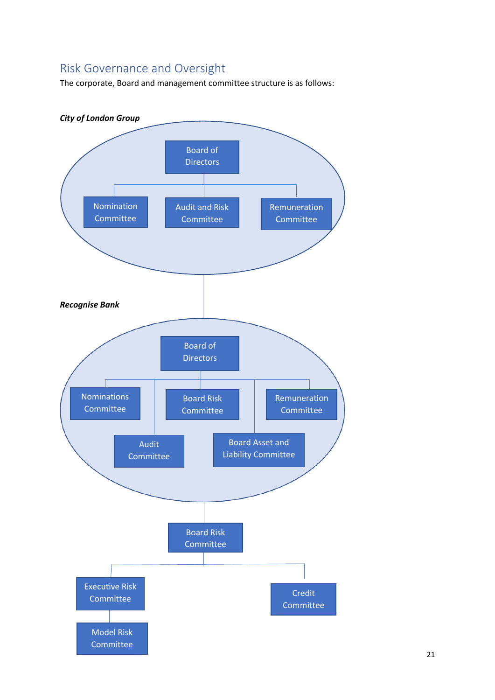# <span id="page-20-0"></span>Risk Governance and Oversight

The corporate, Board and management committee structure is as follows:

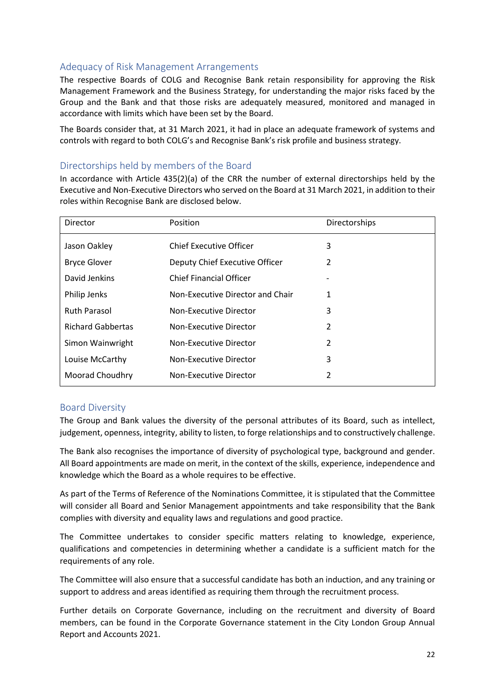## <span id="page-21-0"></span>Adequacy of Risk Management Arrangements

The respective Boards of COLG and Recognise Bank retain responsibility for approving the Risk Management Framework and the Business Strategy, for understanding the major risks faced by the Group and the Bank and that those risks are adequately measured, monitored and managed in accordance with limits which have been set by the Board.

The Boards consider that, at 31 March 2021, it had in place an adequate framework of systems and controls with regard to both COLG's and Recognise Bank's risk profile and business strategy.

## <span id="page-21-1"></span>Directorships held by members of the Board

In accordance with Article 435(2)(a) of the CRR the number of external directorships held by the Executive and Non-Executive Directors who served on the Board at 31 March 2021, in addition to their roles within Recognise Bank are disclosed below.

| Director                 | Position                         | Directorships |
|--------------------------|----------------------------------|---------------|
| Jason Oakley             | Chief Executive Officer          | 3             |
| <b>Bryce Glover</b>      | Deputy Chief Executive Officer   | 2             |
| David Jenkins            | Chief Financial Officer          |               |
| Philip Jenks             | Non-Executive Director and Chair | 1             |
| <b>Ruth Parasol</b>      | Non-Executive Director           | 3             |
| <b>Richard Gabbertas</b> | Non-Executive Director           | $\mathcal{P}$ |
| Simon Wainwright         | Non-Executive Director           | 2             |
| Louise McCarthy          | Non-Executive Director           | 3             |
| Moorad Choudhry          | Non-Executive Director           | $\mathcal{P}$ |

## <span id="page-21-2"></span>Board Diversity

The Group and Bank values the diversity of the personal attributes of its Board, such as intellect, judgement, openness, integrity, ability to listen, to forge relationships and to constructively challenge.

The Bank also recognises the importance of diversity of psychological type, background and gender. All Board appointments are made on merit, in the context of the skills, experience, independence and knowledge which the Board as a whole requires to be effective.

As part of the Terms of Reference of the Nominations Committee, it is stipulated that the Committee will consider all Board and Senior Management appointments and take responsibility that the Bank complies with diversity and equality laws and regulations and good practice.

The Committee undertakes to consider specific matters relating to knowledge, experience, qualifications and competencies in determining whether a candidate is a sufficient match for the requirements of any role.

The Committee will also ensure that a successful candidate has both an induction, and any training or support to address and areas identified as requiring them through the recruitment process.

Further details on Corporate Governance, including on the recruitment and diversity of Board members, can be found in the Corporate Governance statement in the City London Group Annual Report and Accounts 2021.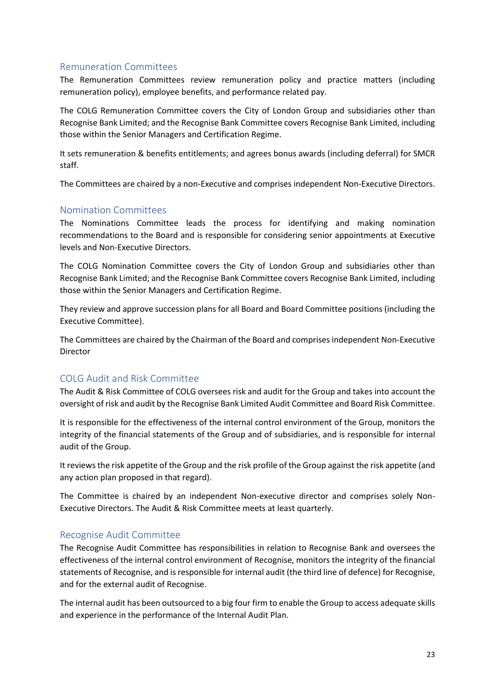## <span id="page-22-0"></span>Remuneration Committees

The Remuneration Committees review remuneration policy and practice matters (including remuneration policy), employee benefits, and performance related pay.

The COLG Remuneration Committee covers the City of London Group and subsidiaries other than Recognise Bank Limited; and the Recognise Bank Committee covers Recognise Bank Limited, including those within the Senior Managers and Certification Regime.

It sets remuneration & benefits entitlements; and agrees bonus awards (including deferral) for SMCR staff.

The Committees are chaired by a non-Executive and comprises independent Non-Executive Directors.

## <span id="page-22-1"></span>Nomination Committees

The Nominations Committee leads the process for identifying and making nomination recommendations to the Board and is responsible for considering senior appointments at Executive levels and Non-Executive Directors.

The COLG Nomination Committee covers the City of London Group and subsidiaries other than Recognise Bank Limited; and the Recognise Bank Committee covers Recognise Bank Limited, including those within the Senior Managers and Certification Regime.

They review and approve succession plans for all Board and Board Committee positions (including the Executive Committee).

The Committees are chaired by the Chairman of the Board and comprises independent Non-Executive Director

## <span id="page-22-2"></span>COLG Audit and Risk Committee

The Audit & Risk Committee of COLG oversees risk and audit for the Group and takes into account the oversight of risk and audit by the Recognise Bank Limited Audit Committee and Board Risk Committee.

It is responsible for the effectiveness of the internal control environment of the Group, monitors the integrity of the financial statements of the Group and of subsidiaries, and is responsible for internal audit of the Group.

It reviews the risk appetite of the Group and the risk profile of the Group against the risk appetite (and any action plan proposed in that regard).

The Committee is chaired by an independent Non-executive director and comprises solely Non-Executive Directors. The Audit & Risk Committee meets at least quarterly.

## <span id="page-22-3"></span>Recognise Audit Committee

The Recognise Audit Committee has responsibilities in relation to Recognise Bank and oversees the effectiveness of the internal control environment of Recognise, monitors the integrity of the financial statements of Recognise, and is responsible for internal audit (the third line of defence) for Recognise, and for the external audit of Recognise.

The internal audit has been outsourced to a big four firm to enable the Group to access adequate skills and experience in the performance of the Internal Audit Plan.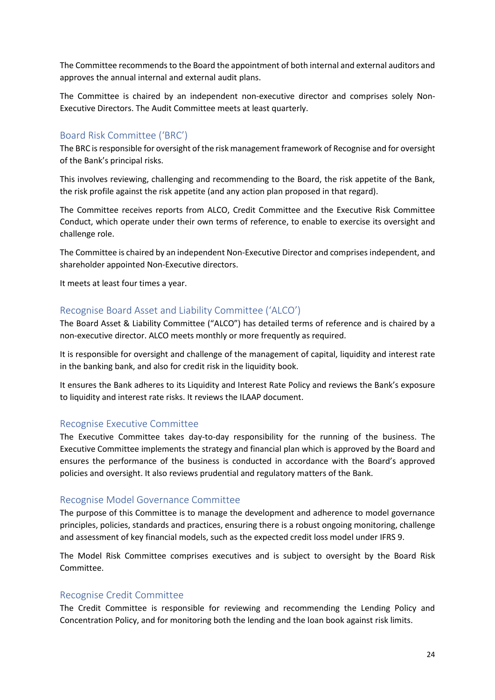The Committee recommends to the Board the appointment of both internal and external auditors and approves the annual internal and external audit plans.

The Committee is chaired by an independent non-executive director and comprises solely Non-Executive Directors. The Audit Committee meets at least quarterly.

## <span id="page-23-0"></span>Board Risk Committee ('BRC')

The BRC is responsible for oversight of the risk management framework of Recognise and for oversight of the Bank's principal risks.

This involves reviewing, challenging and recommending to the Board, the risk appetite of the Bank, the risk profile against the risk appetite (and any action plan proposed in that regard).

The Committee receives reports from ALCO, Credit Committee and the Executive Risk Committee Conduct, which operate under their own terms of reference, to enable to exercise its oversight and challenge role.

The Committee is chaired by an independent Non-Executive Director and comprises independent, and shareholder appointed Non-Executive directors.

It meets at least four times a year.

#### <span id="page-23-1"></span>Recognise Board Asset and Liability Committee ('ALCO')

The Board Asset & Liability Committee ("ALCO") has detailed terms of reference and is chaired by a non-executive director. ALCO meets monthly or more frequently as required.

It is responsible for oversight and challenge of the management of capital, liquidity and interest rate in the banking bank, and also for credit risk in the liquidity book.

It ensures the Bank adheres to its Liquidity and Interest Rate Policy and reviews the Bank's exposure to liquidity and interest rate risks. It reviews the ILAAP document.

#### <span id="page-23-2"></span>Recognise Executive Committee

The Executive Committee takes day-to-day responsibility for the running of the business. The Executive Committee implements the strategy and financial plan which is approved by the Board and ensures the performance of the business is conducted in accordance with the Board's approved policies and oversight. It also reviews prudential and regulatory matters of the Bank.

#### <span id="page-23-3"></span>Recognise Model Governance Committee

The purpose of this Committee is to manage the development and adherence to model governance principles, policies, standards and practices, ensuring there is a robust ongoing monitoring, challenge and assessment of key financial models, such as the expected credit loss model under IFRS 9.

The Model Risk Committee comprises executives and is subject to oversight by the Board Risk Committee.

#### <span id="page-23-4"></span>Recognise Credit Committee

The Credit Committee is responsible for reviewing and recommending the Lending Policy and Concentration Policy, and for monitoring both the lending and the loan book against risk limits.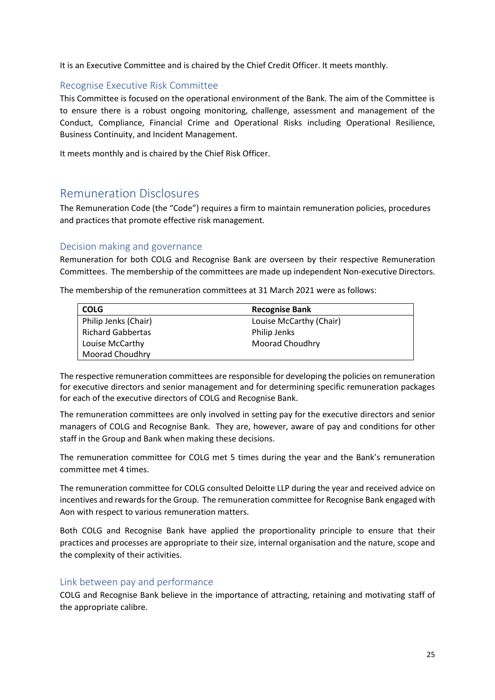It is an Executive Committee and is chaired by the Chief Credit Officer. It meets monthly.

## <span id="page-24-0"></span>Recognise Executive Risk Committee

This Committee is focused on the operational environment of the Bank. The aim of the Committee is to ensure there is a robust ongoing monitoring, challenge, assessment and management of the Conduct, Compliance, Financial Crime and Operational Risks including Operational Resilience, Business Continuity, and Incident Management.

It meets monthly and is chaired by the Chief Risk Officer.

## <span id="page-24-1"></span>Remuneration Disclosures

The Remuneration Code (the "Code") requires a firm to maintain remuneration policies, procedures and practices that promote effective risk management.

## <span id="page-24-2"></span>Decision making and governance

Remuneration for both COLG and Recognise Bank are overseen by their respective Remuneration Committees. The membership of the committees are made up independent Non-executive Directors.

The membership of the remuneration committees at 31 March 2021 were as follows:

| COLG                 | <b>Recognise Bank</b>   |
|----------------------|-------------------------|
| Philip Jenks (Chair) | Louise McCarthy (Chair) |
| Richard Gabbertas    | Philip Jenks            |
| Louise McCarthy      | Moorad Choudhry         |
| Moorad Choudhry      |                         |

The respective remuneration committees are responsible for developing the policies on remuneration for executive directors and senior management and for determining specific remuneration packages for each of the executive directors of COLG and Recognise Bank.

The remuneration committees are only involved in setting pay for the executive directors and senior managers of COLG and Recognise Bank. They are, however, aware of pay and conditions for other staff in the Group and Bank when making these decisions.

The remuneration committee for COLG met 5 times during the year and the Bank's remuneration committee met 4 times.

The remuneration committee for COLG consulted Deloitte LLP during the year and received advice on incentives and rewards for the Group. The remuneration committee for Recognise Bank engaged with Aon with respect to various remuneration matters.

Both COLG and Recognise Bank have applied the proportionality principle to ensure that their practices and processes are appropriate to their size, internal organisation and the nature, scope and the complexity of their activities.

## <span id="page-24-3"></span>Link between pay and performance

COLG and Recognise Bank believe in the importance of attracting, retaining and motivating staff of the appropriate calibre.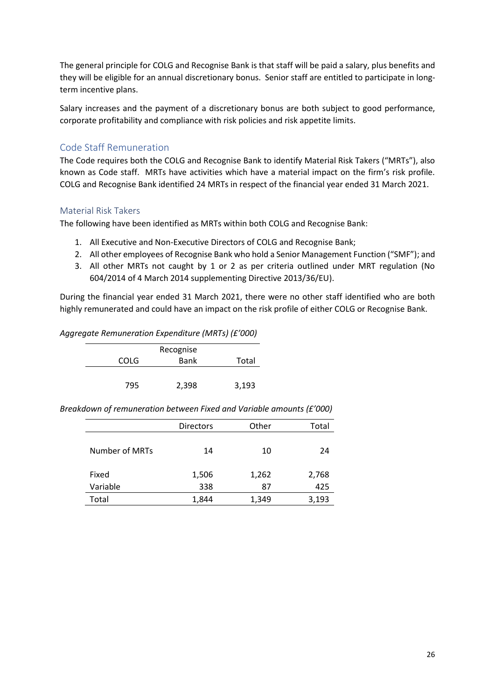The general principle for COLG and Recognise Bank is that staff will be paid a salary, plus benefits and they will be eligible for an annual discretionary bonus. Senior staff are entitled to participate in longterm incentive plans.

Salary increases and the payment of a discretionary bonus are both subject to good performance, corporate profitability and compliance with risk policies and risk appetite limits.

## <span id="page-25-0"></span>Code Staff Remuneration

The Code requires both the COLG and Recognise Bank to identify Material Risk Takers ("MRTs"), also known as Code staff. MRTs have activities which have a material impact on the firm's risk profile. COLG and Recognise Bank identified 24 MRTs in respect of the financial year ended 31 March 2021.

## <span id="page-25-1"></span>Material Risk Takers

The following have been identified as MRTs within both COLG and Recognise Bank:

- 1. All Executive and Non-Executive Directors of COLG and Recognise Bank;
- 2. All other employees of Recognise Bank who hold a Senior Management Function ("SMF"); and
- 3. All other MRTs not caught by 1 or 2 as per criteria outlined under MRT regulation (No 604/2014 of 4 March 2014 supplementing Directive 2013/36/EU).

During the financial year ended 31 March 2021, there were no other staff identified who are both highly remunerated and could have an impact on the risk profile of either COLG or Recognise Bank.

#### *Aggregate Remuneration Expenditure (MRTs) (£'000)*

|             | Recognise   |       |
|-------------|-------------|-------|
| <b>COLG</b> | <b>Bank</b> | Total |
|             |             |       |
| 795         | 2,398       | 3,193 |

*Breakdown of remuneration between Fixed and Variable amounts (£'000)*

|                | <b>Directors</b> | Other | Total |
|----------------|------------------|-------|-------|
|                |                  |       |       |
|                |                  |       |       |
| Number of MRTs | 14               | 10    | 24    |
|                |                  |       |       |
| Fixed          | 1,506            | 1,262 | 2,768 |
|                |                  |       |       |
| Variable       | 338              | 87    | 425   |
| Total          | 1,844            | 1,349 | 3,193 |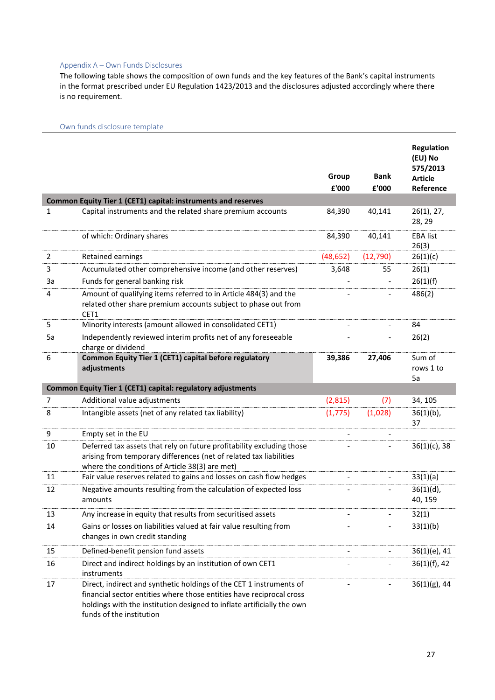#### <span id="page-26-0"></span>Appendix A – Own Funds Disclosures

The following table shows the composition of own funds and the key features of the Bank's capital instruments in the format prescribed under EU Regulation 1423/2013 and the disclosures adjusted accordingly where there is no requirement.

#### <span id="page-26-1"></span>Own funds disclosure template

|                |                                                                                                                                                                                                                                                   | Group<br>£'000 | <b>Bank</b><br>£'000 | <b>Regulation</b><br>(EU) No<br>575/2013<br><b>Article</b><br>Reference |
|----------------|---------------------------------------------------------------------------------------------------------------------------------------------------------------------------------------------------------------------------------------------------|----------------|----------------------|-------------------------------------------------------------------------|
|                | Common Equity Tier 1 (CET1) capital: instruments and reserves                                                                                                                                                                                     |                |                      |                                                                         |
| $\mathbf{1}$   | Capital instruments and the related share premium accounts                                                                                                                                                                                        | 84,390         | 40,141               | 26(1), 27,<br>28, 29                                                    |
|                | of which: Ordinary shares                                                                                                                                                                                                                         | 84,390         | 40,141               | <b>EBA list</b><br>26(3)                                                |
| $\overline{2}$ | Retained earnings                                                                                                                                                                                                                                 | (48, 652)      | (12, 790)            | 26(1)(c)                                                                |
| 3              | Accumulated other comprehensive income (and other reserves)                                                                                                                                                                                       | 3,648          | 55                   | 26(1)                                                                   |
| 3a             | Funds for general banking risk                                                                                                                                                                                                                    |                |                      | 26(1)(f)                                                                |
| 4              | Amount of qualifying items referred to in Article 484(3) and the<br>related other share premium accounts subject to phase out from<br>CET1                                                                                                        |                |                      | 486(2)                                                                  |
| 5              | Minority interests (amount allowed in consolidated CET1)                                                                                                                                                                                          |                |                      | 84                                                                      |
| 5a             | Independently reviewed interim profits net of any foreseeable<br>charge or dividend                                                                                                                                                               |                |                      | 26(2)                                                                   |
| 6              | Common Equity Tier 1 (CET1) capital before regulatory<br>adjustments                                                                                                                                                                              | 39,386         | 27,406               | Sum of<br>rows 1 to<br>5a                                               |
|                | Common Equity Tier 1 (CET1) capital: regulatory adjustments                                                                                                                                                                                       |                |                      |                                                                         |
| $\overline{7}$ | Additional value adjustments                                                                                                                                                                                                                      | (2,815)        | (7)                  | 34, 105                                                                 |
| 8              | Intangible assets (net of any related tax liability)                                                                                                                                                                                              | (1, 775)       | (1,028)              | $36(1)(b)$ ,<br>37                                                      |
| 9              | Empty set in the EU                                                                                                                                                                                                                               |                |                      |                                                                         |
| 10             | Deferred tax assets that rely on future profitability excluding those<br>arising from temporary differences (net of related tax liabilities<br>where the conditions of Article 38(3) are met)                                                     |                |                      | $36(1)(c)$ , 38                                                         |
| 11             | Fair value reserves related to gains and losses on cash flow hedges                                                                                                                                                                               |                |                      | 33(1)(a)                                                                |
| 12             | Negative amounts resulting from the calculation of expected loss<br>amounts                                                                                                                                                                       |                |                      | $36(1)(d)$ ,<br>40, 159                                                 |
| 13             | Any increase in equity that results from securitised assets                                                                                                                                                                                       |                |                      | 32(1)                                                                   |
| 14             | Gains or losses on liabilities valued at fair value resulting from<br>changes in own credit standing                                                                                                                                              |                |                      | 33(1)(b)                                                                |
| 15             | Defined-benefit pension fund assets                                                                                                                                                                                                               |                |                      | 36(1)(e), 41                                                            |
| 16             | Direct and indirect holdings by an institution of own CET1<br>instruments                                                                                                                                                                         |                |                      | $36(1)(f)$ , 42                                                         |
| 17             | Direct, indirect and synthetic holdings of the CET 1 instruments of<br>financial sector entities where those entities have reciprocal cross<br>holdings with the institution designed to inflate artificially the own<br>funds of the institution |                |                      | $36(1)(g)$ , 44                                                         |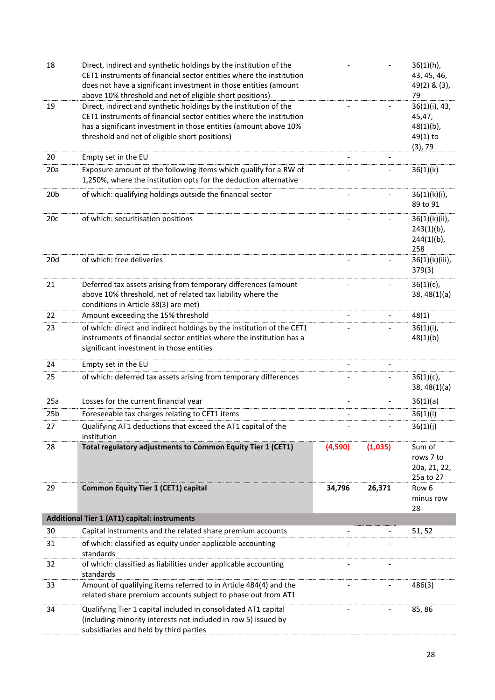| 18              | Direct, indirect and synthetic holdings by the institution of the<br>CET1 instruments of financial sector entities where the institution<br>does not have a significant investment in those entities (amount<br>above 10% threshold and net of eligible short positions) |                          |                          | $36(1)(h)$ ,<br>43, 45, 46,<br>49(2) & (3),<br>79                 |
|-----------------|--------------------------------------------------------------------------------------------------------------------------------------------------------------------------------------------------------------------------------------------------------------------------|--------------------------|--------------------------|-------------------------------------------------------------------|
| 19              | Direct, indirect and synthetic holdings by the institution of the<br>CET1 instruments of financial sector entities where the institution<br>has a significant investment in those entities (amount above 10%<br>threshold and net of eligible short positions)           |                          |                          | 36(1)(i), 43,<br>45,47,<br>$48(1)(b)$ ,<br>49(1) to<br>$(3)$ , 79 |
| 20              | Empty set in the EU                                                                                                                                                                                                                                                      |                          |                          |                                                                   |
| 20a             | Exposure amount of the following items which qualify for a RW of<br>1,250%, where the institution opts for the deduction alternative                                                                                                                                     |                          |                          | 36(1)(k)                                                          |
| 20 <sub>b</sub> | of which: qualifying holdings outside the financial sector                                                                                                                                                                                                               |                          |                          | $36(1)(k)(i)$ ,<br>89 to 91                                       |
| 20c             | of which: securitisation positions                                                                                                                                                                                                                                       | $\overline{\phantom{a}}$ | $\overline{\phantom{a}}$ | 36(1)(k)(ii),<br>$243(1)(b)$ ,<br>$244(1)(b)$ ,<br>258            |
| 20d             | of which: free deliveries                                                                                                                                                                                                                                                |                          |                          | 36(1)(k)(iii),<br>379(3)                                          |
| 21              | Deferred tax assets arising from temporary differences (amount<br>above 10% threshold, net of related tax liability where the<br>conditions in Article 38(3) are met)                                                                                                    |                          |                          | $36(1)(c)$ ,<br>38, 48(1)(a)                                      |
| 22              | Amount exceeding the 15% threshold                                                                                                                                                                                                                                       |                          |                          | 48(1)                                                             |
| 23              | of which: direct and indirect holdings by the institution of the CET1<br>instruments of financial sector entities where the institution has a<br>significant investment in those entities                                                                                |                          |                          | $36(1)(i)$ ,<br>48(1)(b)                                          |
| 24              | Empty set in the EU                                                                                                                                                                                                                                                      |                          |                          |                                                                   |
| 25              | of which: deferred tax assets arising from temporary differences                                                                                                                                                                                                         |                          |                          | $36(1)(c)$ ,<br>38, 48(1)(a)                                      |
| 25a             | Losses for the current financial year                                                                                                                                                                                                                                    |                          |                          | 36(1)(a)                                                          |
| 25 <sub>b</sub> | Foreseeable tax charges relating to CET1 items                                                                                                                                                                                                                           |                          |                          | 36(1)(1)                                                          |
| 27              | Qualifying AT1 deductions that exceed the AT1 capital of the<br>institution                                                                                                                                                                                              |                          |                          | 36(1)(j)                                                          |
| 28              | Total regulatory adjustments to Common Equity Tier 1 (CET1)                                                                                                                                                                                                              | (4,590)                  | (1,035)                  | Sum of<br>rows 7 to<br>20a, 21, 22,<br>25a to 27                  |
| 29              | <b>Common Equity Tier 1 (CET1) capital</b>                                                                                                                                                                                                                               | 34,796                   | 26,371                   | Row 6<br>minus row<br>28                                          |
|                 | <b>Additional Tier 1 (AT1) capital: instruments</b>                                                                                                                                                                                                                      |                          |                          |                                                                   |
| 30              | Capital instruments and the related share premium accounts                                                                                                                                                                                                               |                          |                          | 51, 52                                                            |
| 31              | of which: classified as equity under applicable accounting<br>standards                                                                                                                                                                                                  |                          |                          |                                                                   |
| 32              | of which: classified as liabilities under applicable accounting<br>standards                                                                                                                                                                                             |                          |                          |                                                                   |
| 33              | Amount of qualifying items referred to in Article 484(4) and the<br>related share premium accounts subject to phase out from AT1                                                                                                                                         |                          |                          | 486(3)                                                            |
| 34              | Qualifying Tier 1 capital included in consolidated AT1 capital<br>(including minority interests not included in row 5) issued by<br>subsidiaries and held by third parties                                                                                               |                          |                          | 85, 86                                                            |
|                 |                                                                                                                                                                                                                                                                          |                          |                          |                                                                   |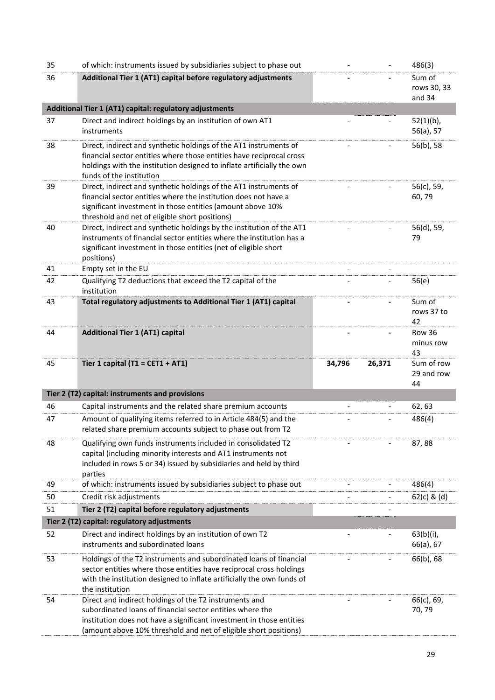| 35 | of which: instruments issued by subsidiaries subject to phase out                                                                                                                                                                                    |        |        | 486(3)                          |
|----|------------------------------------------------------------------------------------------------------------------------------------------------------------------------------------------------------------------------------------------------------|--------|--------|---------------------------------|
| 36 | Additional Tier 1 (AT1) capital before regulatory adjustments                                                                                                                                                                                        |        |        | Sum of<br>rows 30, 33<br>and 34 |
|    | Additional Tier 1 (AT1) capital: regulatory adjustments                                                                                                                                                                                              |        |        |                                 |
| 37 | Direct and indirect holdings by an institution of own AT1<br>instruments                                                                                                                                                                             |        |        | $52(1)(b)$ ,<br>56(a), 57       |
| 38 | Direct, indirect and synthetic holdings of the AT1 instruments of<br>financial sector entities where those entities have reciprocal cross<br>holdings with the institution designed to inflate artificially the own<br>funds of the institution      |        |        | 56(b), 58                       |
| 39 | Direct, indirect and synthetic holdings of the AT1 instruments of<br>financial sector entities where the institution does not have a<br>significant investment in those entities (amount above 10%<br>threshold and net of eligible short positions) |        |        | 56(c), 59,<br>60,79             |
| 40 | Direct, indirect and synthetic holdings by the institution of the AT1<br>instruments of financial sector entities where the institution has a<br>significant investment in those entities (net of eligible short<br>positions)                       |        |        | 56(d), 59,<br>79                |
| 41 | Empty set in the EU                                                                                                                                                                                                                                  |        |        |                                 |
| 42 | Qualifying T2 deductions that exceed the T2 capital of the<br>institution                                                                                                                                                                            |        |        | 56(e)                           |
| 43 | Total regulatory adjustments to Additional Tier 1 (AT1) capital                                                                                                                                                                                      |        |        | Sum of<br>rows 37 to<br>42      |
| 44 | <b>Additional Tier 1 (AT1) capital</b>                                                                                                                                                                                                               |        |        | Row 36<br>minus row<br>43       |
| 45 | Tier 1 capital (T1 = CET1 + AT1)                                                                                                                                                                                                                     | 34,796 | 26,371 | Sum of row<br>29 and row<br>44  |
|    | Tier 2 (T2) capital: instruments and provisions                                                                                                                                                                                                      |        |        |                                 |
| 46 | Capital instruments and the related share premium accounts                                                                                                                                                                                           |        |        | 62, 63                          |
| 47 | Amount of qualifying items referred to in Article 484(5) and the<br>related share premium accounts subject to phase out from T2                                                                                                                      |        |        | 486(4)                          |
| 48 | Qualifying own funds instruments included in consolidated T2<br>capital (including minority interests and AT1 instruments not<br>included in rows 5 or 34) issued by subsidiaries and held by third<br>parties                                       |        |        | 87,88                           |
| 49 | of which: instruments issued by subsidiaries subject to phase out                                                                                                                                                                                    |        |        | 486(4)                          |
| 50 | Credit risk adjustments                                                                                                                                                                                                                              |        |        | $62(c)$ & (d)                   |
| 51 | Tier 2 (T2) capital before regulatory adjustments                                                                                                                                                                                                    |        |        |                                 |
|    | Tier 2 (T2) capital: regulatory adjustments                                                                                                                                                                                                          |        |        |                                 |
| 52 | Direct and indirect holdings by an institution of own T2<br>instruments and subordinated loans                                                                                                                                                       |        |        | 63(b)(i),<br>66(a), 67          |
| 53 | Holdings of the T2 instruments and subordinated loans of financial<br>sector entities where those entities have reciprocal cross holdings                                                                                                            |        |        | 66(b), 68                       |
|    | with the institution designed to inflate artificially the own funds of<br>the institution                                                                                                                                                            |        |        |                                 |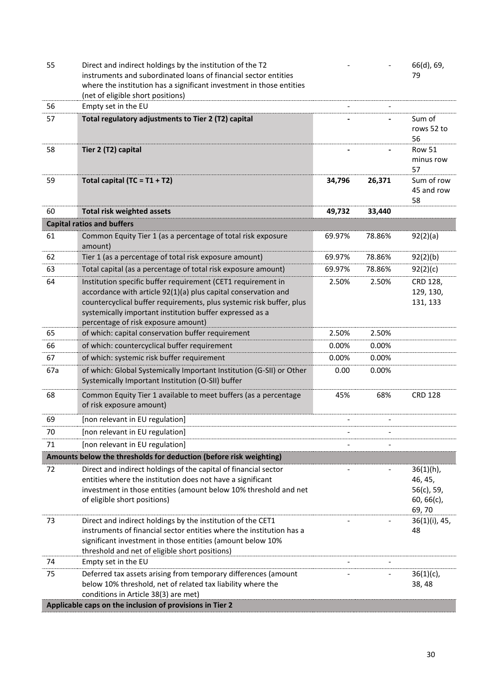| 55  | Direct and indirect holdings by the institution of the T2<br>instruments and subordinated loans of financial sector entities<br>where the institution has a significant investment in those entities                                                                                                      |                          |        | 66(d), 69,<br>79                                             |
|-----|-----------------------------------------------------------------------------------------------------------------------------------------------------------------------------------------------------------------------------------------------------------------------------------------------------------|--------------------------|--------|--------------------------------------------------------------|
| 56  | (net of eligible short positions)<br>Empty set in the EU                                                                                                                                                                                                                                                  |                          |        |                                                              |
| 57  | Total regulatory adjustments to Tier 2 (T2) capital                                                                                                                                                                                                                                                       |                          |        | Sum of<br>rows 52 to<br>56                                   |
| 58  | Tier 2 (T2) capital                                                                                                                                                                                                                                                                                       |                          |        | Row 51<br>minus row<br>57                                    |
| 59  | Total capital (TC = $T1 + T2$ )                                                                                                                                                                                                                                                                           | 34,796                   | 26,371 | Sum of row<br>45 and row<br>58                               |
| 60  | <b>Total risk weighted assets</b>                                                                                                                                                                                                                                                                         | 49,732                   | 33,440 |                                                              |
|     | <b>Capital ratios and buffers</b>                                                                                                                                                                                                                                                                         |                          |        |                                                              |
| 61  | Common Equity Tier 1 (as a percentage of total risk exposure<br>amount)                                                                                                                                                                                                                                   | 69.97%                   | 78.86% | 92(2)(a)                                                     |
| 62  | Tier 1 (as a percentage of total risk exposure amount)                                                                                                                                                                                                                                                    | 69.97%                   | 78.86% | 92(2)(b)                                                     |
| 63  | Total capital (as a percentage of total risk exposure amount)                                                                                                                                                                                                                                             | 69.97%                   | 78.86% | 92(2)(c)                                                     |
| 64  | Institution specific buffer requirement (CET1 requirement in<br>accordance with article 92(1)(a) plus capital conservation and<br>countercyclical buffer requirements, plus systemic risk buffer, plus<br>systemically important institution buffer expressed as a<br>percentage of risk exposure amount) | 2.50%                    | 2.50%  | CRD 128,<br>129, 130,<br>131, 133                            |
| 65  | of which: capital conservation buffer requirement                                                                                                                                                                                                                                                         | 2.50%                    | 2.50%  |                                                              |
| 66  | of which: countercyclical buffer requirement                                                                                                                                                                                                                                                              | 0.00%                    | 0.00%  |                                                              |
| 67  | of which: systemic risk buffer requirement                                                                                                                                                                                                                                                                | 0.00%                    | 0.00%  |                                                              |
| 67a | of which: Global Systemically Important Institution (G-SII) or Other<br>Systemically Important Institution (O-SII) buffer                                                                                                                                                                                 | 0.00                     | 0.00%  |                                                              |
| 68  | Common Equity Tier 1 available to meet buffers (as a percentage<br>of risk exposure amount)                                                                                                                                                                                                               | 45%                      | 68%    | <b>CRD 128</b>                                               |
| 69  | [non relevant in EU regulation]                                                                                                                                                                                                                                                                           |                          |        |                                                              |
| 70  | [non relevant in EU regulation]                                                                                                                                                                                                                                                                           |                          |        |                                                              |
| 71  | [non relevant in EU regulation]                                                                                                                                                                                                                                                                           |                          |        |                                                              |
|     | Amounts below the thresholds for deduction (before risk weighting)                                                                                                                                                                                                                                        |                          |        |                                                              |
| 72  | Direct and indirect holdings of the capital of financial sector<br>entities where the institution does not have a significant<br>investment in those entities (amount below 10% threshold and net<br>of eligible short positions)                                                                         |                          |        | $36(1)(h)$ ,<br>46, 45,<br>56(c), 59,<br>60, 66(c),<br>69,70 |
| 73  | Direct and indirect holdings by the institution of the CET1<br>instruments of financial sector entities where the institution has a<br>significant investment in those entities (amount below 10%<br>threshold and net of eligible short positions)                                                       |                          |        | 36(1)(i), 45,<br>48                                          |
| 74  | Empty set in the EU                                                                                                                                                                                                                                                                                       | $\overline{\phantom{a}}$ |        |                                                              |
| 75  | Deferred tax assets arising from temporary differences (amount<br>below 10% threshold, net of related tax liability where the<br>conditions in Article 38(3) are met)                                                                                                                                     |                          |        | $36(1)(c)$ ,<br>38, 48                                       |
|     | Applicable caps on the inclusion of provisions in Tier 2                                                                                                                                                                                                                                                  |                          |        |                                                              |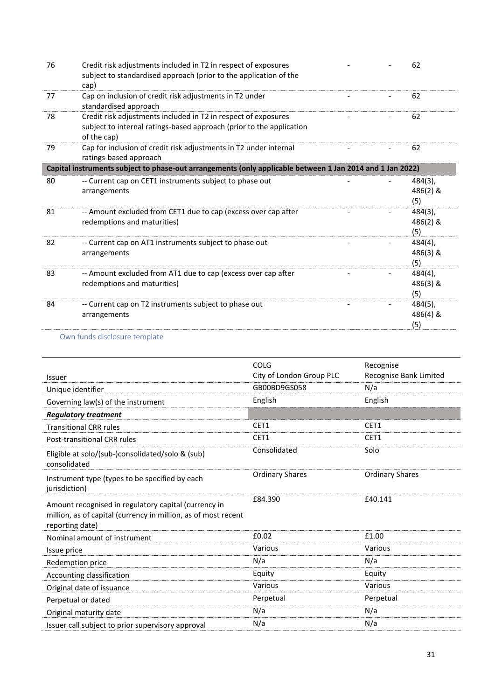| 76 | Credit risk adjustments included in T2 in respect of exposures<br>subject to standardised approach (prior to the application of the<br>cap)           |  | 62                         |
|----|-------------------------------------------------------------------------------------------------------------------------------------------------------|--|----------------------------|
| 77 | Cap on inclusion of credit risk adjustments in T2 under<br>standardised approach                                                                      |  | 62                         |
| 78 | Credit risk adjustments included in T2 in respect of exposures<br>subject to internal ratings-based approach (prior to the application<br>of the cap) |  | 62                         |
| 79 | Cap for inclusion of credit risk adjustments in T2 under internal<br>ratings-based approach                                                           |  | 62                         |
|    | Capital instruments subject to phase-out arrangements (only applicable between 1 Jan 2014 and 1 Jan 2022)                                             |  |                            |
| 80 | -- Current cap on CET1 instruments subject to phase out<br>arrangements                                                                               |  | 484(3),<br>486(2) &<br>(5) |
| 81 | -- Amount excluded from CET1 due to cap (excess over cap after<br>redemptions and maturities)                                                         |  | 484(3),<br>486(2) &<br>(5) |
| 82 | -- Current cap on AT1 instruments subject to phase out<br>arrangements                                                                                |  | 484(4),<br>486(3) &<br>(5) |
| 83 | -- Amount excluded from AT1 due to cap (excess over cap after<br>redemptions and maturities)                                                          |  | 484(4),<br>486(3) &<br>(5) |
| 84 | -- Current cap on T2 instruments subject to phase out<br>arrangements                                                                                 |  | 484(5),<br>486(4) &<br>(5) |
|    |                                                                                                                                                       |  |                            |

#### <span id="page-30-0"></span>Own funds disclosure template

|                                                                                                                                           | COLG                     | Recognise              |
|-------------------------------------------------------------------------------------------------------------------------------------------|--------------------------|------------------------|
| Issuer                                                                                                                                    | City of London Group PLC | Recognise Bank Limited |
| Unique identifier                                                                                                                         | GB00BD9GS058             | N/a                    |
| Governing law(s) of the instrument                                                                                                        | English                  | English                |
| <b>Regulatory treatment</b>                                                                                                               |                          |                        |
| <b>Transitional CRR rules</b>                                                                                                             | CET1                     | CET1                   |
| <b>Post-transitional CRR rules</b>                                                                                                        | CET1                     | CET1                   |
| Eligible at solo/(sub-)consolidated/solo & (sub)<br>consolidated                                                                          | Consolidated             | Solo                   |
| Instrument type (types to be specified by each<br>jurisdiction)                                                                           | <b>Ordinary Shares</b>   | <b>Ordinary Shares</b> |
| Amount recognised in regulatory capital (currency in<br>million, as of capital (currency in million, as of most recent<br>reporting date) | £84.390                  | £40.141                |
| Nominal amount of instrument                                                                                                              | £0.02                    | £1.00                  |
| Issue price                                                                                                                               | Various                  | Various                |
| Redemption price                                                                                                                          | N/a                      | N/a                    |
| Accounting classification                                                                                                                 | Equity                   | Equity                 |
| Original date of issuance                                                                                                                 | Various                  | Various                |
| Perpetual or dated                                                                                                                        | Perpetual                | Perpetual              |
| Original maturity date                                                                                                                    | N/a                      | N/a                    |
| Issuer call subject to prior supervisory approval                                                                                         | N/a                      | N/a                    |